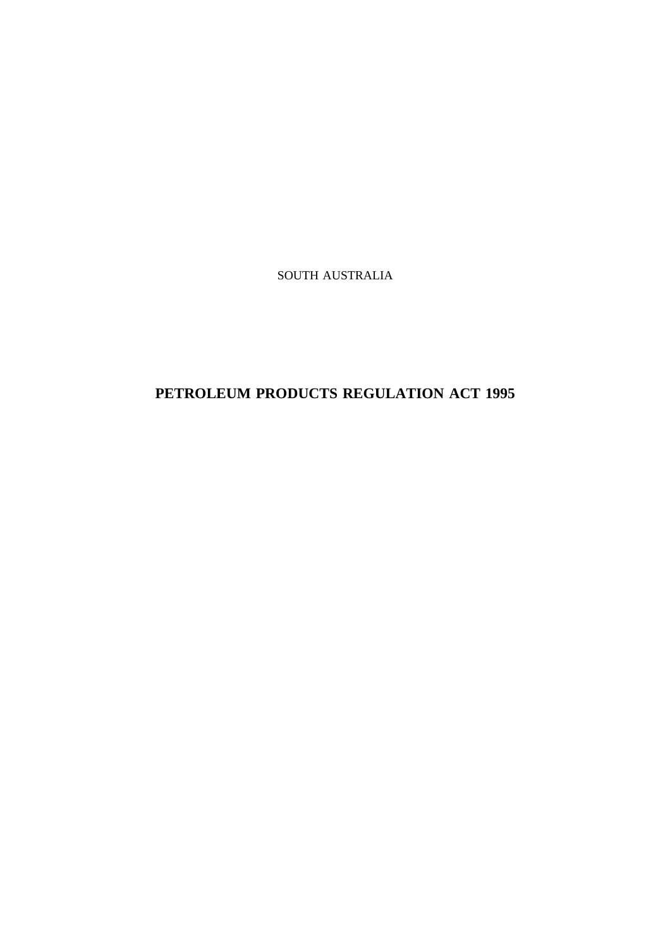SOUTH AUSTRALIA

# **PETROLEUM PRODUCTS REGULATION ACT 1995**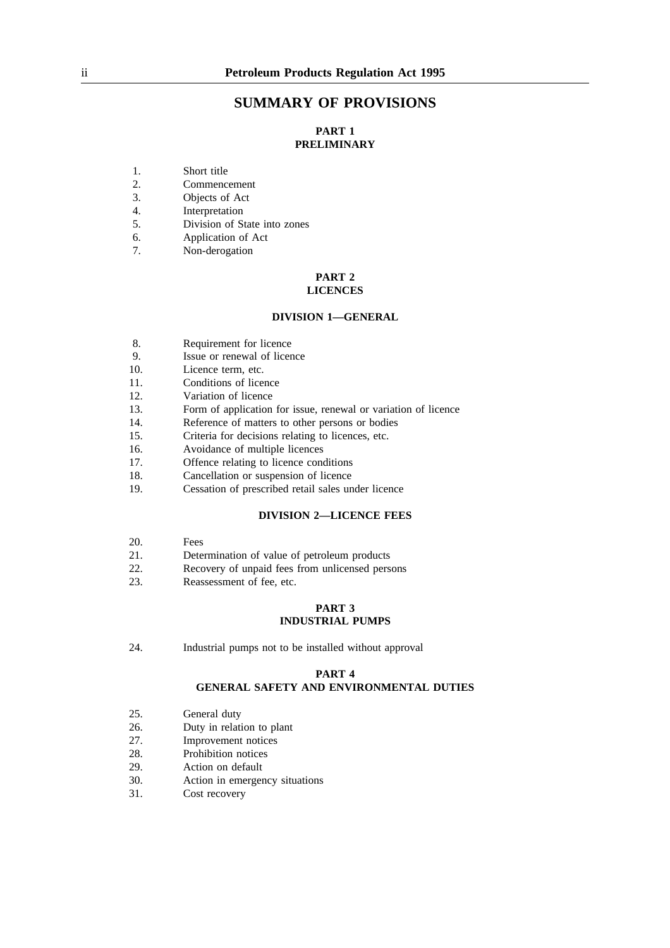## **SUMMARY OF PROVISIONS**

## **PART 1 PRELIMINARY**

- 1. Short title
- 2. Commencement
- 3. Objects of Act
- 4. Interpretation
- 5. Division of State into zones
- 6. Application of Act
- 7. Non-derogation

### **PART 2 LICENCES**

### **DIVISION 1—GENERAL**

- 8. Requirement for licence
- 9. Issue or renewal of licence
- 10. Licence term, etc.
- 11. Conditions of licence
- 12. Variation of licence
- 13. Form of application for issue, renewal or variation of licence
- 14. Reference of matters to other persons or bodies
- 15. Criteria for decisions relating to licences, etc.
- 16. Avoidance of multiple licences
- 17. Offence relating to licence conditions
- 18. Cancellation or suspension of licence
- 19. Cessation of prescribed retail sales under licence

## **DIVISION 2—LICENCE FEES**

- 20. Fees
- 21. Determination of value of petroleum products
- 22. Recovery of unpaid fees from unlicensed persons
- 23. Reassessment of fee, etc.

### **PART 3 INDUSTRIAL PUMPS**

24. Industrial pumps not to be installed without approval

### **PART 4**

## **GENERAL SAFETY AND ENVIRONMENTAL DUTIES**

- 25. General duty
- 26. Duty in relation to plant
- 27. Improvement notices<br>28 Prohibition notices
- Prohibition notices
- 29. Action on default
- 30. Action in emergency situations
- 31. Cost recovery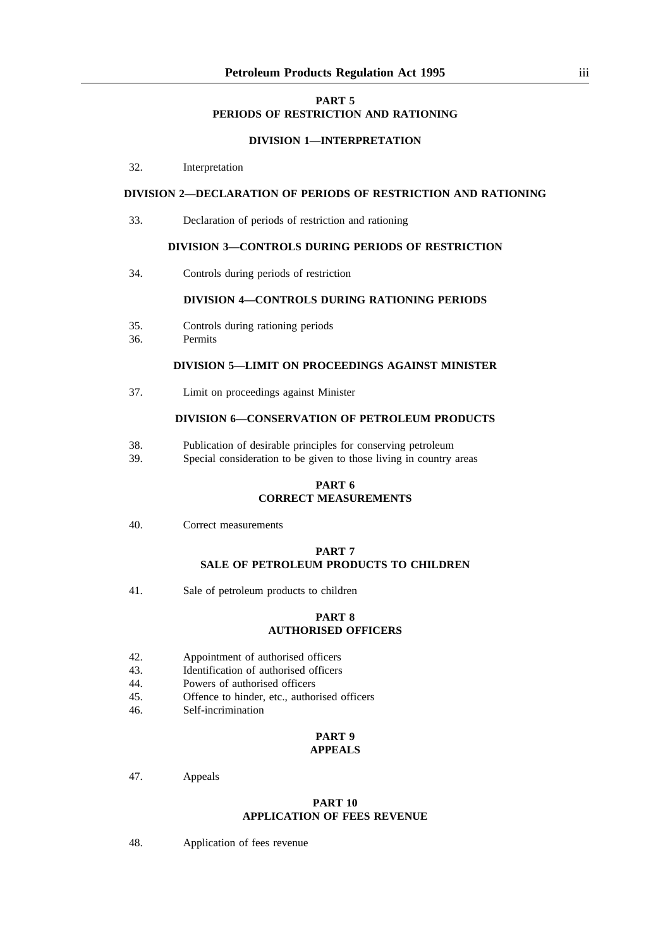## **PART 5 PERIODS OF RESTRICTION AND RATIONING**

### **DIVISION 1—INTERPRETATION**

32. Interpretation

## **DIVISION 2—DECLARATION OF PERIODS OF RESTRICTION AND RATIONING**

33. Declaration of periods of restriction and rationing

#### **DIVISION 3—CONTROLS DURING PERIODS OF RESTRICTION**

34. Controls during periods of restriction

### **DIVISION 4—CONTROLS DURING RATIONING PERIODS**

- 35. Controls during rationing periods
- 36. Permits

## **DIVISION 5—LIMIT ON PROCEEDINGS AGAINST MINISTER**

37. Limit on proceedings against Minister

### **DIVISION 6—CONSERVATION OF PETROLEUM PRODUCTS**

- 38. Publication of desirable principles for conserving petroleum
- 39. Special consideration to be given to those living in country areas

## **PART 6 CORRECT MEASUREMENTS**

40. Correct measurements

## **PART 7 SALE OF PETROLEUM PRODUCTS TO CHILDREN**

41. Sale of petroleum products to children

### **PART 8 AUTHORISED OFFICERS**

- 42. Appointment of authorised officers
- 43. Identification of authorised officers
- 44. Powers of authorised officers<br>45. Offence to hinder, etc., author
- Offence to hinder, etc., authorised officers
- 46. Self-incrimination

#### **PART 9 APPEALS**

#### 47. Appeals

### **PART 10 APPLICATION OF FEES REVENUE**

48. Application of fees revenue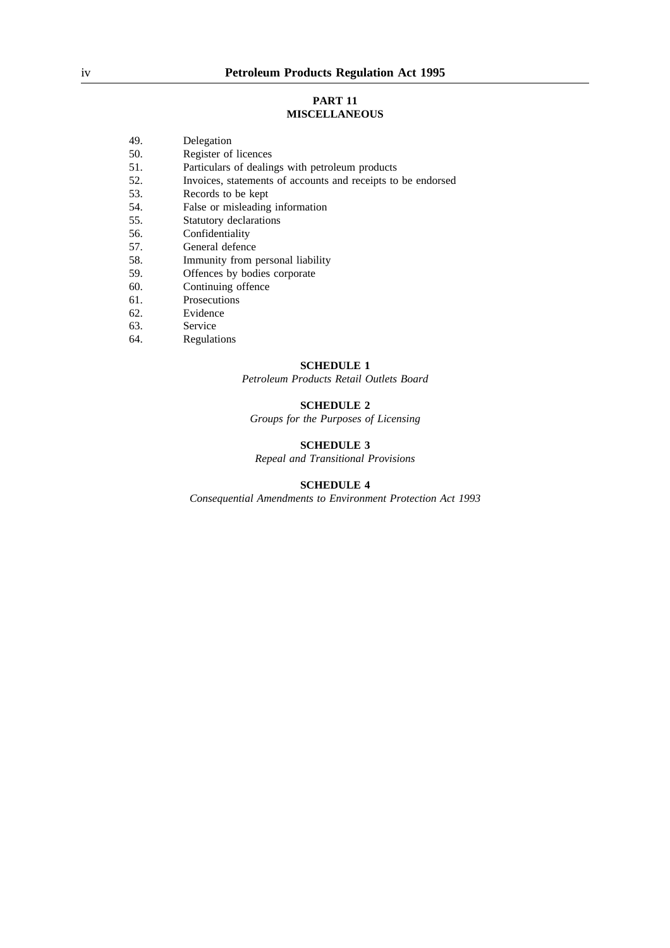### **PART 11 MISCELLANEOUS**

- 50. Register of licences
- 51. Particulars of dealings with petroleum products
- 52. Invoices, statements of accounts and receipts to be endorsed<br>53. Records to be kent
- Records to be kept
- 54. False or misleading information<br>55. Statutory declarations
- Statutory declarations
- 56. Confidentiality
- 57. General defence
- 58. Immunity from personal liability<br>59. Offences by bodies corporate
- Offences by bodies corporate
- 60. Continuing offence
- 61. Prosecutions
- 62. Evidence
- 63. Service<br>64. Regulat
- **Regulations**

### **SCHEDULE 1**

*Petroleum Products Retail Outlets Board*

## **SCHEDULE 2**

*Groups for the Purposes of Licensing*

### **SCHEDULE 3**

*Repeal and Transitional Provisions*

### **SCHEDULE 4**

*Consequential Amendments to Environment Protection Act 1993*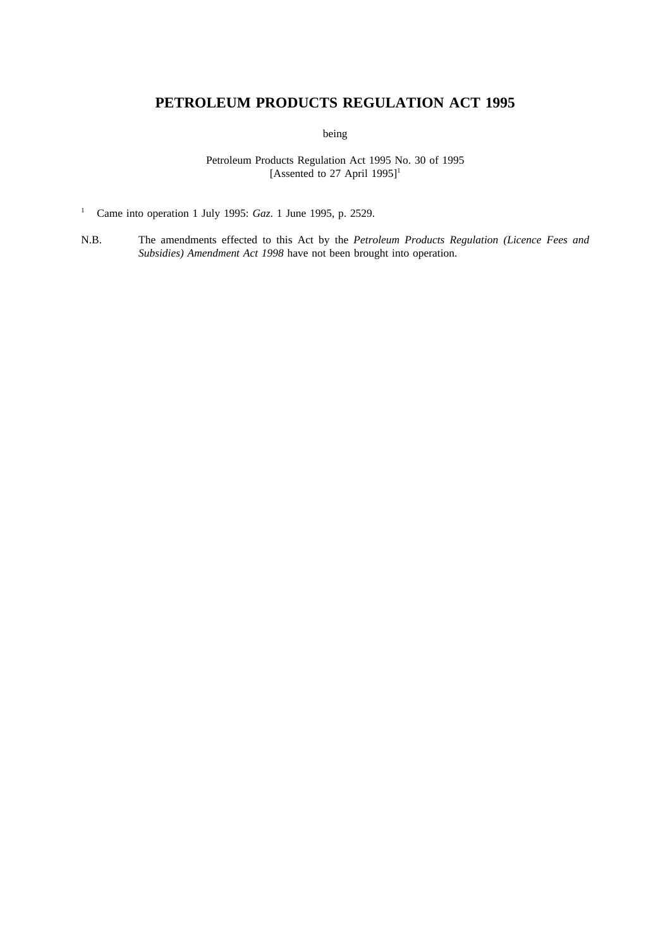# **PETROLEUM PRODUCTS REGULATION ACT 1995**

being

Petroleum Products Regulation Act 1995 No. 30 of 1995 [Assented to 27 April 1995]<sup>1</sup>

<sup>1</sup> Came into operation 1 July 1995: *Gaz*. 1 June 1995, p. 2529.

N.B. The amendments effected to this Act by the *Petroleum Products Regulation (Licence Fees and Subsidies) Amendment Act 1998* have not been brought into operation.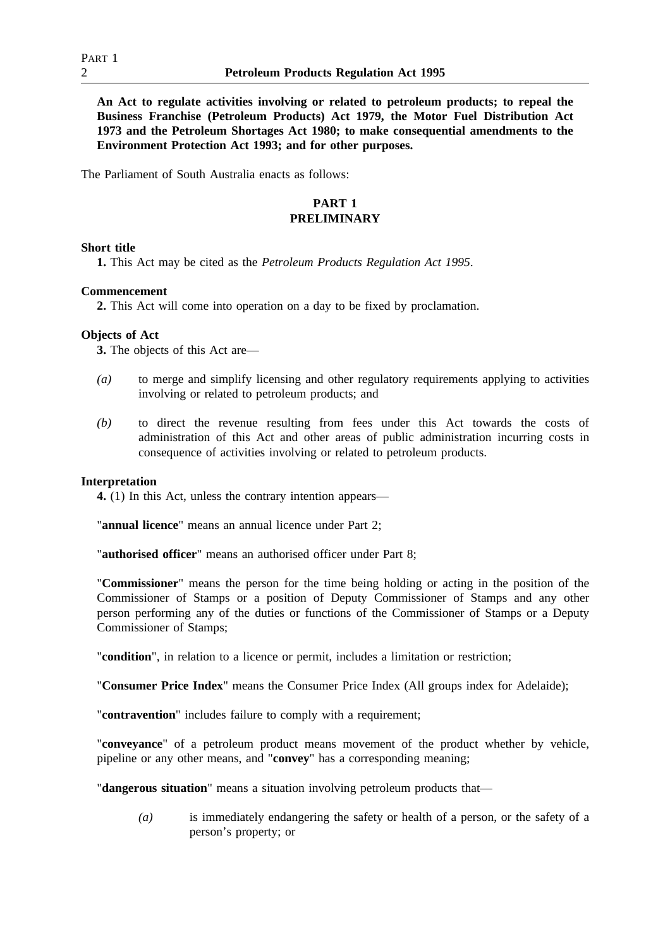**An Act to regulate activities involving or related to petroleum products; to repeal the Business Franchise (Petroleum Products) Act 1979, the Motor Fuel Distribution Act 1973 and the Petroleum Shortages Act 1980; to make consequential amendments to the Environment Protection Act 1993; and for other purposes.**

The Parliament of South Australia enacts as follows:

## **PART 1 PRELIMINARY**

## **Short title**

**1.** This Act may be cited as the *Petroleum Products Regulation Act 1995*.

## **Commencement**

**2.** This Act will come into operation on a day to be fixed by proclamation.

## **Objects of Act**

**3.** The objects of this Act are—

- *(a)* to merge and simplify licensing and other regulatory requirements applying to activities involving or related to petroleum products; and
- *(b)* to direct the revenue resulting from fees under this Act towards the costs of administration of this Act and other areas of public administration incurring costs in consequence of activities involving or related to petroleum products.

### **Interpretation**

**4.** (1) In this Act, unless the contrary intention appears—

"**annual licence**" means an annual licence under Part 2;

"**authorised officer**" means an authorised officer under Part 8;

"**Commissioner**" means the person for the time being holding or acting in the position of the Commissioner of Stamps or a position of Deputy Commissioner of Stamps and any other person performing any of the duties or functions of the Commissioner of Stamps or a Deputy Commissioner of Stamps;

"**condition**", in relation to a licence or permit, includes a limitation or restriction;

"**Consumer Price Index**" means the Consumer Price Index (All groups index for Adelaide);

"**contravention**" includes failure to comply with a requirement;

"**conveyance**" of a petroleum product means movement of the product whether by vehicle, pipeline or any other means, and "**convey**" has a corresponding meaning;

"**dangerous situation**" means a situation involving petroleum products that—

*(a)* is immediately endangering the safety or health of a person, or the safety of a person's property; or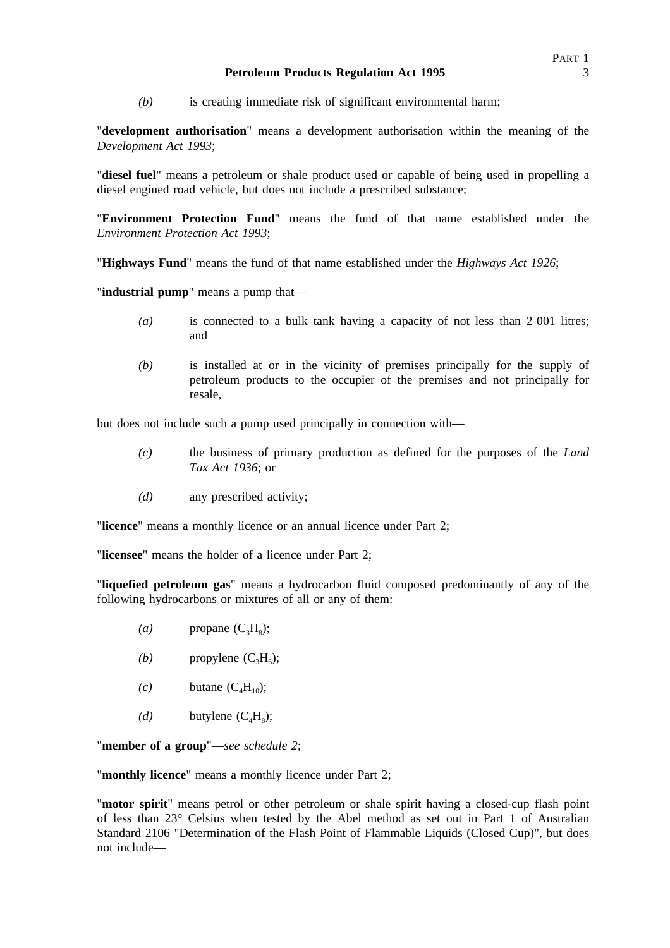*(b)* is creating immediate risk of significant environmental harm;

"**development authorisation**" means a development authorisation within the meaning of the *Development Act 1993*;

"**diesel fuel**" means a petroleum or shale product used or capable of being used in propelling a diesel engined road vehicle, but does not include a prescribed substance;

"**Environment Protection Fund**" means the fund of that name established under the *Environment Protection Act 1993*;

"**Highways Fund**" means the fund of that name established under the *Highways Act 1926*;

"**industrial pump**" means a pump that—

- *(a)* is connected to a bulk tank having a capacity of not less than 2 001 litres; and
- *(b)* is installed at or in the vicinity of premises principally for the supply of petroleum products to the occupier of the premises and not principally for resale,

but does not include such a pump used principally in connection with—

- *(c)* the business of primary production as defined for the purposes of the *Land Tax Act 1936*; or
- *(d)* any prescribed activity;

"**licence**" means a monthly licence or an annual licence under Part 2;

"**licensee**" means the holder of a licence under Part 2;

"**liquefied petroleum gas**" means a hydrocarbon fluid composed predominantly of any of the following hydrocarbons or mixtures of all or any of them:

- $(a)$  propane  $(C_3H_8)$ ;
- *(b)* propylene  $(C_3H_6)$ ;
- $(c)$  butane  $(C_4H_{10});$
- *(d)* butylene  $(C_4H_8)$ ;

"**member of a group**"—*see schedule 2*;

"**monthly licence**" means a monthly licence under Part 2;

"**motor spirit**" means petrol or other petroleum or shale spirit having a closed-cup flash point of less than 23° Celsius when tested by the Abel method as set out in Part 1 of Australian Standard 2106 "Determination of the Flash Point of Flammable Liquids (Closed Cup)", but does not include—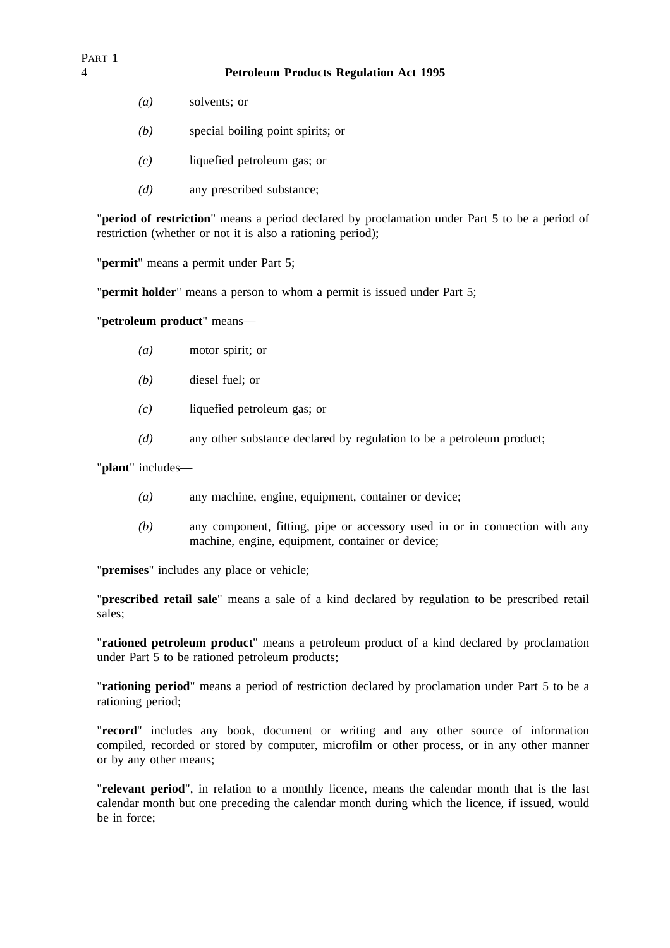- *(a)* solvents; or
- *(b)* special boiling point spirits; or
- *(c)* liquefied petroleum gas; or
- *(d)* any prescribed substance;

"**period of restriction**" means a period declared by proclamation under Part 5 to be a period of restriction (whether or not it is also a rationing period);

"**permit**" means a permit under Part 5;

"**permit holder**" means a person to whom a permit is issued under Part 5;

"**petroleum product**" means—

- *(a)* motor spirit; or
- *(b)* diesel fuel; or
- *(c)* liquefied petroleum gas; or
- *(d)* any other substance declared by regulation to be a petroleum product;

"**plant**" includes—

- *(a)* any machine, engine, equipment, container or device;
- *(b)* any component, fitting, pipe or accessory used in or in connection with any machine, engine, equipment, container or device;

"**premises**" includes any place or vehicle;

"**prescribed retail sale**" means a sale of a kind declared by regulation to be prescribed retail sales;

"**rationed petroleum product**" means a petroleum product of a kind declared by proclamation under Part 5 to be rationed petroleum products;

"**rationing period**" means a period of restriction declared by proclamation under Part 5 to be a rationing period;

"**record**" includes any book, document or writing and any other source of information compiled, recorded or stored by computer, microfilm or other process, or in any other manner or by any other means;

"**relevant period**", in relation to a monthly licence, means the calendar month that is the last calendar month but one preceding the calendar month during which the licence, if issued, would be in force;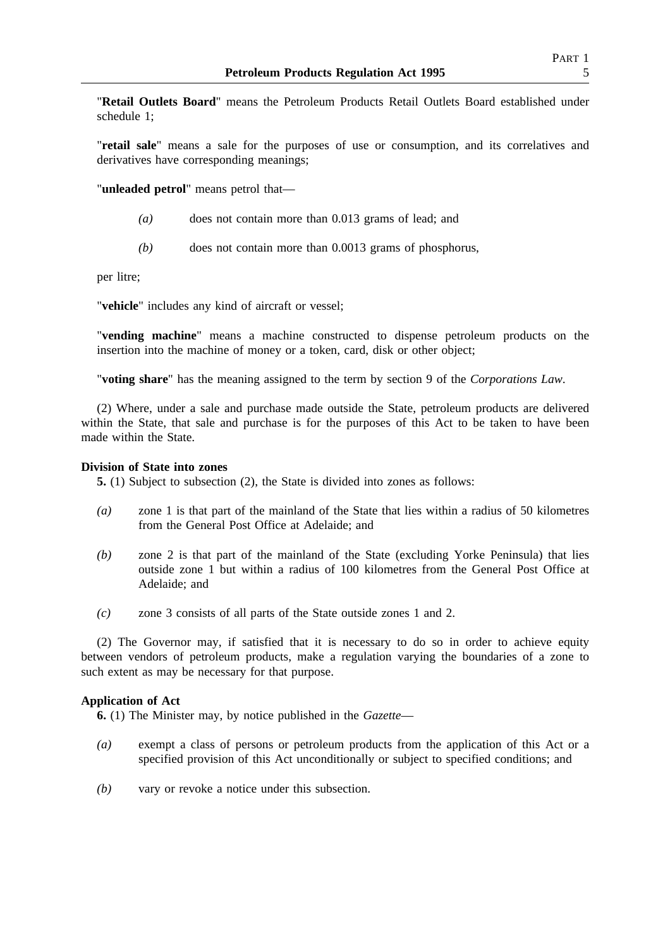"**Retail Outlets Board**" means the Petroleum Products Retail Outlets Board established under schedule 1;

"**retail sale**" means a sale for the purposes of use or consumption, and its correlatives and derivatives have corresponding meanings;

"**unleaded petrol**" means petrol that—

- *(a)* does not contain more than 0.013 grams of lead; and
- *(b)* does not contain more than 0.0013 grams of phosphorus,

per litre;

"**vehicle**" includes any kind of aircraft or vessel;

"**vending machine**" means a machine constructed to dispense petroleum products on the insertion into the machine of money or a token, card, disk or other object;

"**voting share**" has the meaning assigned to the term by section 9 of the *Corporations Law*.

(2) Where, under a sale and purchase made outside the State, petroleum products are delivered within the State, that sale and purchase is for the purposes of this Act to be taken to have been made within the State.

## **Division of State into zones**

**5.** (1) Subject to subsection (2), the State is divided into zones as follows:

- *(a)* zone 1 is that part of the mainland of the State that lies within a radius of 50 kilometres from the General Post Office at Adelaide; and
- *(b)* zone 2 is that part of the mainland of the State (excluding Yorke Peninsula) that lies outside zone 1 but within a radius of 100 kilometres from the General Post Office at Adelaide; and
- *(c)* zone 3 consists of all parts of the State outside zones 1 and 2.

(2) The Governor may, if satisfied that it is necessary to do so in order to achieve equity between vendors of petroleum products, make a regulation varying the boundaries of a zone to such extent as may be necessary for that purpose.

## **Application of Act**

**6.** (1) The Minister may, by notice published in the *Gazette*—

- *(a)* exempt a class of persons or petroleum products from the application of this Act or a specified provision of this Act unconditionally or subject to specified conditions; and
- *(b)* vary or revoke a notice under this subsection.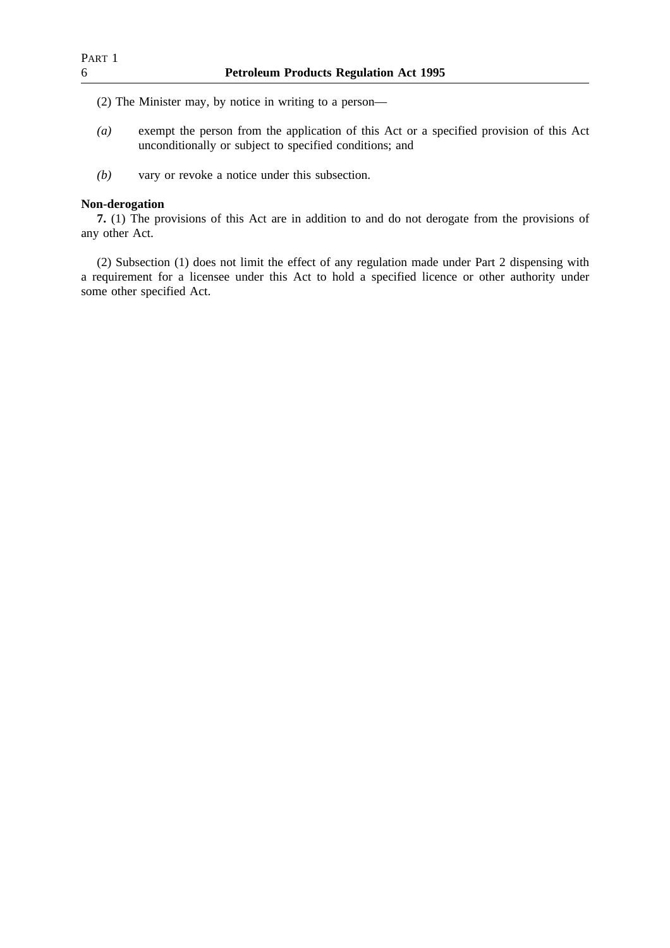(2) The Minister may, by notice in writing to a person—

- *(a)* exempt the person from the application of this Act or a specified provision of this Act unconditionally or subject to specified conditions; and
- *(b)* vary or revoke a notice under this subsection.

## **Non-derogation**

**7.** (1) The provisions of this Act are in addition to and do not derogate from the provisions of any other Act.

(2) Subsection (1) does not limit the effect of any regulation made under Part 2 dispensing with a requirement for a licensee under this Act to hold a specified licence or other authority under some other specified Act.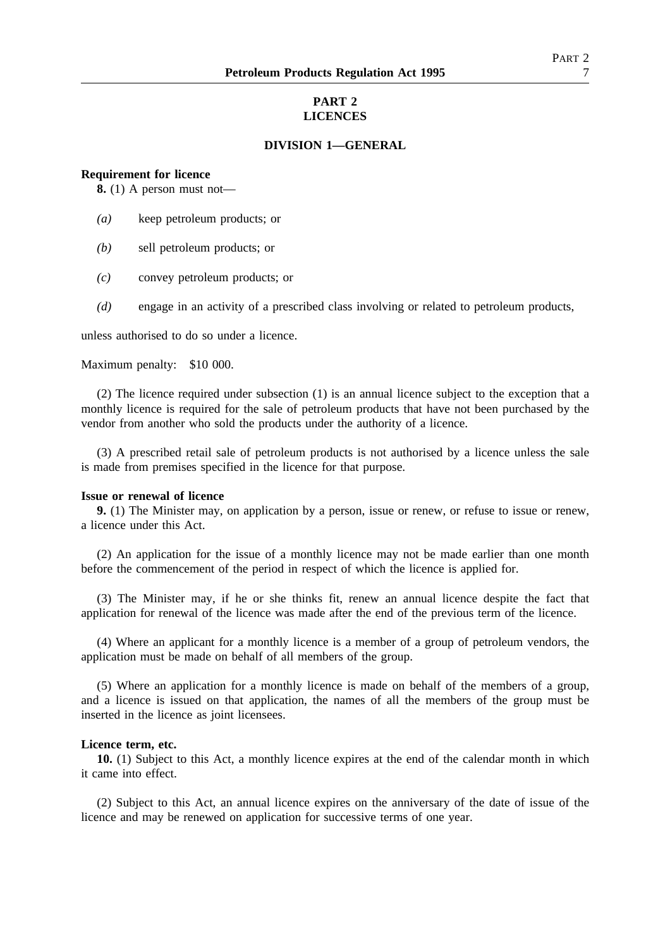## **PART 2 LICENCES**

### **DIVISION 1—GENERAL**

#### **Requirement for licence**

**8.** (1) A person must not—

- *(a)* keep petroleum products; or
- *(b)* sell petroleum products; or
- *(c)* convey petroleum products; or
- *(d)* engage in an activity of a prescribed class involving or related to petroleum products,

unless authorised to do so under a licence.

Maximum penalty: \$10 000.

(2) The licence required under subsection (1) is an annual licence subject to the exception that a monthly licence is required for the sale of petroleum products that have not been purchased by the vendor from another who sold the products under the authority of a licence.

(3) A prescribed retail sale of petroleum products is not authorised by a licence unless the sale is made from premises specified in the licence for that purpose.

### **Issue or renewal of licence**

**9.** (1) The Minister may, on application by a person, issue or renew, or refuse to issue or renew, a licence under this Act.

(2) An application for the issue of a monthly licence may not be made earlier than one month before the commencement of the period in respect of which the licence is applied for.

(3) The Minister may, if he or she thinks fit, renew an annual licence despite the fact that application for renewal of the licence was made after the end of the previous term of the licence.

(4) Where an applicant for a monthly licence is a member of a group of petroleum vendors, the application must be made on behalf of all members of the group.

(5) Where an application for a monthly licence is made on behalf of the members of a group, and a licence is issued on that application, the names of all the members of the group must be inserted in the licence as joint licensees.

### **Licence term, etc.**

**10.** (1) Subject to this Act, a monthly licence expires at the end of the calendar month in which it came into effect.

(2) Subject to this Act, an annual licence expires on the anniversary of the date of issue of the licence and may be renewed on application for successive terms of one year.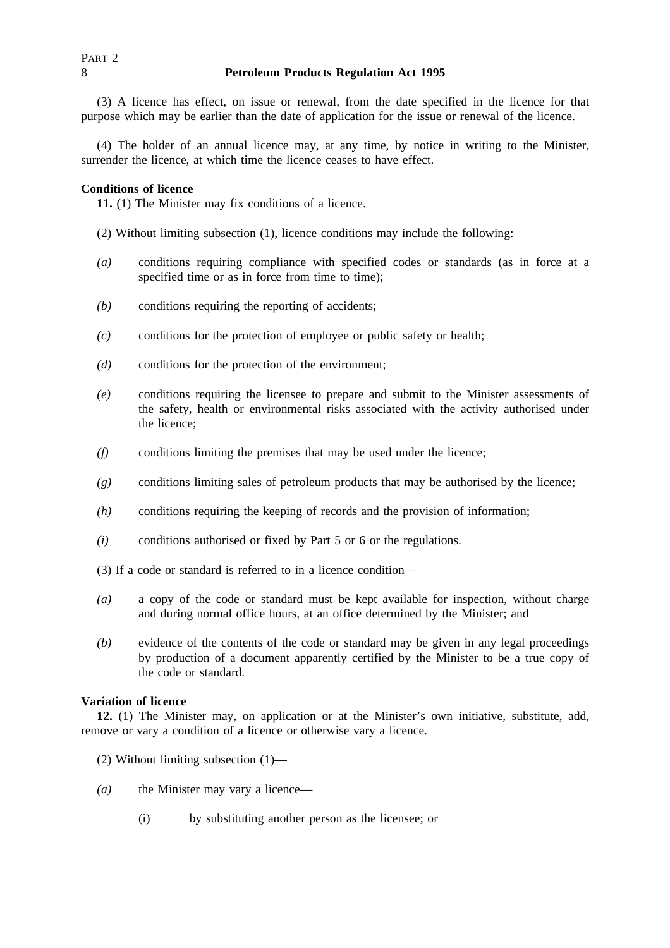(3) A licence has effect, on issue or renewal, from the date specified in the licence for that purpose which may be earlier than the date of application for the issue or renewal of the licence.

(4) The holder of an annual licence may, at any time, by notice in writing to the Minister, surrender the licence, at which time the licence ceases to have effect.

## **Conditions of licence**

**11.** (1) The Minister may fix conditions of a licence.

- (2) Without limiting subsection (1), licence conditions may include the following:
- *(a)* conditions requiring compliance with specified codes or standards (as in force at a specified time or as in force from time to time);
- *(b)* conditions requiring the reporting of accidents;
- *(c)* conditions for the protection of employee or public safety or health;
- *(d)* conditions for the protection of the environment;
- *(e)* conditions requiring the licensee to prepare and submit to the Minister assessments of the safety, health or environmental risks associated with the activity authorised under the licence;
- *(f)* conditions limiting the premises that may be used under the licence;
- *(g)* conditions limiting sales of petroleum products that may be authorised by the licence;
- *(h)* conditions requiring the keeping of records and the provision of information;
- *(i)* conditions authorised or fixed by Part 5 or 6 or the regulations.
- (3) If a code or standard is referred to in a licence condition—
- *(a)* a copy of the code or standard must be kept available for inspection, without charge and during normal office hours, at an office determined by the Minister; and
- *(b)* evidence of the contents of the code or standard may be given in any legal proceedings by production of a document apparently certified by the Minister to be a true copy of the code or standard.

### **Variation of licence**

**12.** (1) The Minister may, on application or at the Minister's own initiative, substitute, add, remove or vary a condition of a licence or otherwise vary a licence.

- (2) Without limiting subsection (1)—
- *(a)* the Minister may vary a licence—
	- (i) by substituting another person as the licensee; or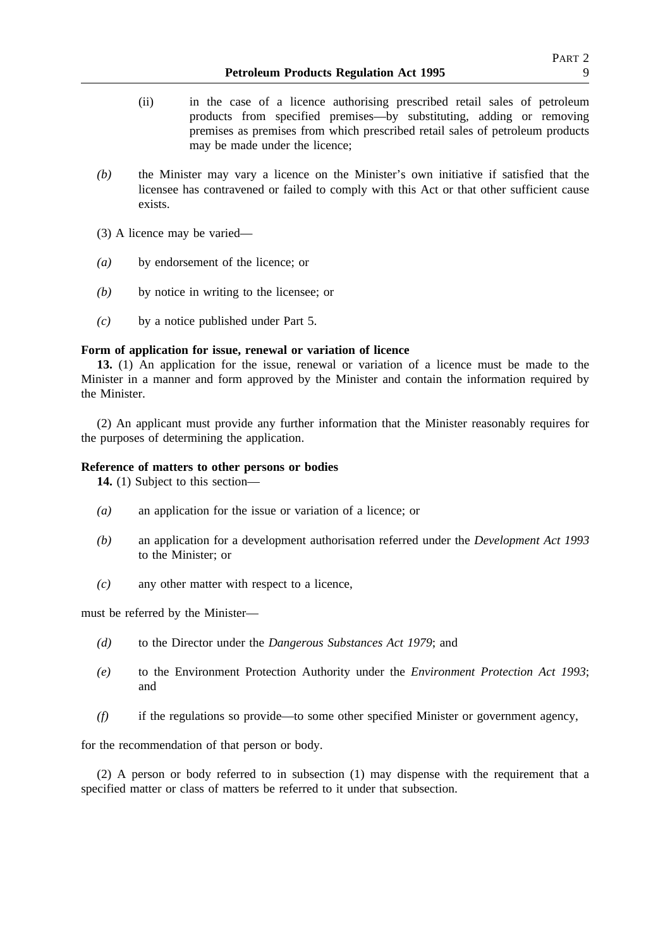- (ii) in the case of a licence authorising prescribed retail sales of petroleum products from specified premises—by substituting, adding or removing premises as premises from which prescribed retail sales of petroleum products may be made under the licence;
- *(b)* the Minister may vary a licence on the Minister's own initiative if satisfied that the licensee has contravened or failed to comply with this Act or that other sufficient cause exists.
- (3) A licence may be varied—
- *(a)* by endorsement of the licence; or
- *(b)* by notice in writing to the licensee; or
- *(c)* by a notice published under Part 5.

### **Form of application for issue, renewal or variation of licence**

**13.** (1) An application for the issue, renewal or variation of a licence must be made to the Minister in a manner and form approved by the Minister and contain the information required by the Minister.

(2) An applicant must provide any further information that the Minister reasonably requires for the purposes of determining the application.

### **Reference of matters to other persons or bodies**

**14.** (1) Subject to this section—

- *(a)* an application for the issue or variation of a licence; or
- *(b)* an application for a development authorisation referred under the *Development Act 1993* to the Minister; or
- *(c)* any other matter with respect to a licence,

must be referred by the Minister—

- *(d)* to the Director under the *Dangerous Substances Act 1979*; and
- *(e)* to the Environment Protection Authority under the *Environment Protection Act 1993*; and
- *(f)* if the regulations so provide—to some other specified Minister or government agency,

for the recommendation of that person or body.

(2) A person or body referred to in subsection (1) may dispense with the requirement that a specified matter or class of matters be referred to it under that subsection.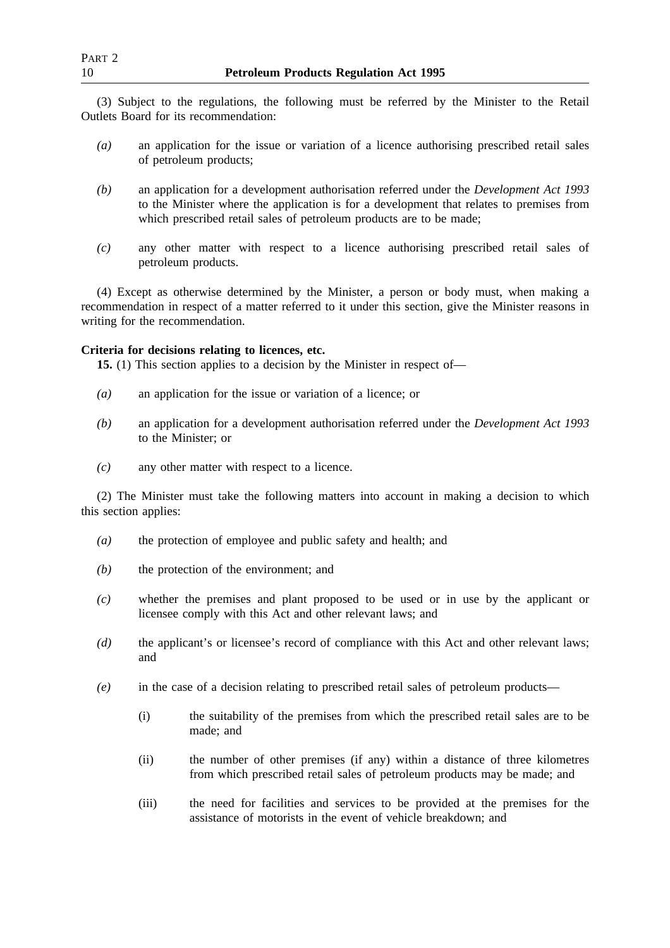(3) Subject to the regulations, the following must be referred by the Minister to the Retail Outlets Board for its recommendation:

- *(a)* an application for the issue or variation of a licence authorising prescribed retail sales of petroleum products;
- *(b)* an application for a development authorisation referred under the *Development Act 1993* to the Minister where the application is for a development that relates to premises from which prescribed retail sales of petroleum products are to be made;
- *(c)* any other matter with respect to a licence authorising prescribed retail sales of petroleum products.

(4) Except as otherwise determined by the Minister, a person or body must, when making a recommendation in respect of a matter referred to it under this section, give the Minister reasons in writing for the recommendation.

## **Criteria for decisions relating to licences, etc.**

**15.** (1) This section applies to a decision by the Minister in respect of—

- *(a)* an application for the issue or variation of a licence; or
- *(b)* an application for a development authorisation referred under the *Development Act 1993* to the Minister; or
- *(c)* any other matter with respect to a licence.

(2) The Minister must take the following matters into account in making a decision to which this section applies:

- *(a)* the protection of employee and public safety and health; and
- *(b)* the protection of the environment; and
- *(c)* whether the premises and plant proposed to be used or in use by the applicant or licensee comply with this Act and other relevant laws; and
- *(d)* the applicant's or licensee's record of compliance with this Act and other relevant laws; and
- *(e)* in the case of a decision relating to prescribed retail sales of petroleum products—
	- (i) the suitability of the premises from which the prescribed retail sales are to be made; and
	- (ii) the number of other premises (if any) within a distance of three kilometres from which prescribed retail sales of petroleum products may be made; and
	- (iii) the need for facilities and services to be provided at the premises for the assistance of motorists in the event of vehicle breakdown; and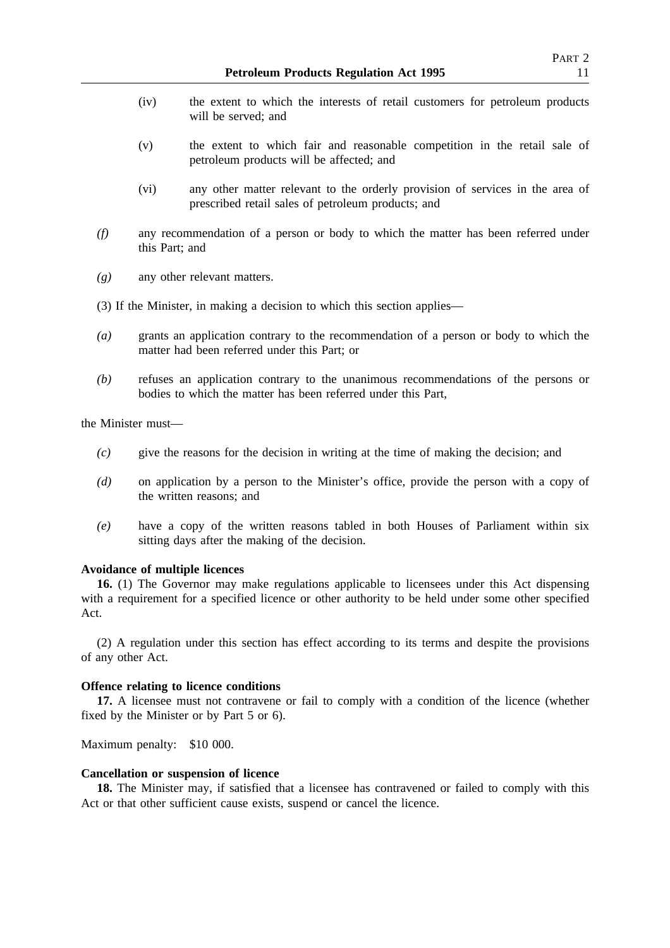- (iv) the extent to which the interests of retail customers for petroleum products will be served; and
- (v) the extent to which fair and reasonable competition in the retail sale of petroleum products will be affected; and
- (vi) any other matter relevant to the orderly provision of services in the area of prescribed retail sales of petroleum products; and
- *(f)* any recommendation of a person or body to which the matter has been referred under this Part; and
- *(g)* any other relevant matters.

(3) If the Minister, in making a decision to which this section applies—

- *(a)* grants an application contrary to the recommendation of a person or body to which the matter had been referred under this Part; or
- *(b)* refuses an application contrary to the unanimous recommendations of the persons or bodies to which the matter has been referred under this Part,

the Minister must—

- *(c)* give the reasons for the decision in writing at the time of making the decision; and
- *(d)* on application by a person to the Minister's office, provide the person with a copy of the written reasons; and
- *(e)* have a copy of the written reasons tabled in both Houses of Parliament within six sitting days after the making of the decision.

### **Avoidance of multiple licences**

**16.** (1) The Governor may make regulations applicable to licensees under this Act dispensing with a requirement for a specified licence or other authority to be held under some other specified Act.

(2) A regulation under this section has effect according to its terms and despite the provisions of any other Act.

### **Offence relating to licence conditions**

**17.** A licensee must not contravene or fail to comply with a condition of the licence (whether fixed by the Minister or by Part 5 or 6).

Maximum penalty: \$10 000.

### **Cancellation or suspension of licence**

**18.** The Minister may, if satisfied that a licensee has contravened or failed to comply with this Act or that other sufficient cause exists, suspend or cancel the licence.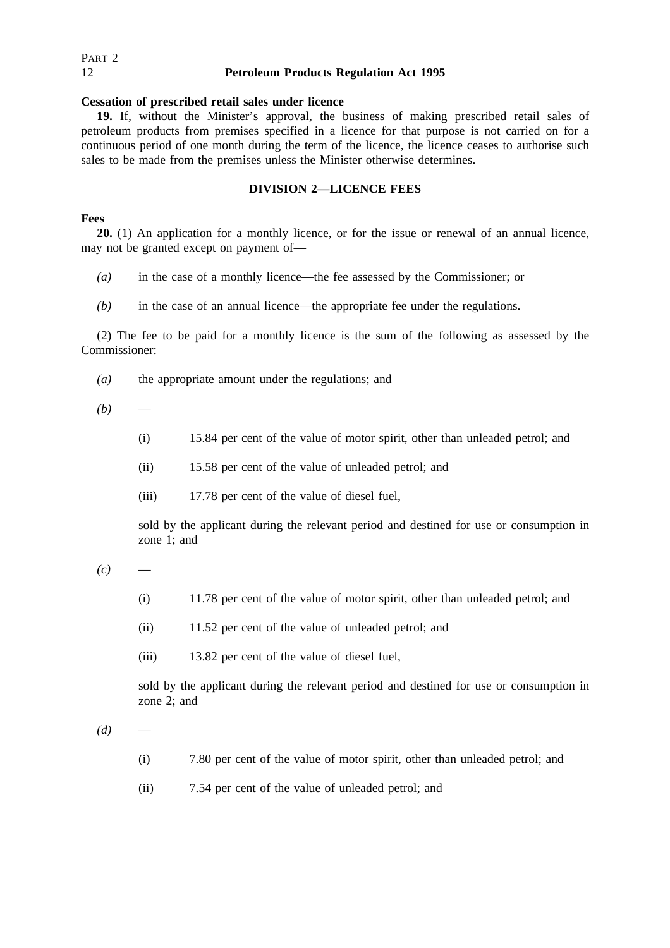| Part 2 |                                               |
|--------|-----------------------------------------------|
| 12     | <b>Petroleum Products Regulation Act 1995</b> |

### **Cessation of prescribed retail sales under licence**

**19.** If, without the Minister's approval, the business of making prescribed retail sales of petroleum products from premises specified in a licence for that purpose is not carried on for a continuous period of one month during the term of the licence, the licence ceases to authorise such sales to be made from the premises unless the Minister otherwise determines.

### **DIVISION 2—LICENCE FEES**

## **Fees**

**20.** (1) An application for a monthly licence, or for the issue or renewal of an annual licence, may not be granted except on payment of—

- *(a)* in the case of a monthly licence—the fee assessed by the Commissioner; or
- *(b)* in the case of an annual licence—the appropriate fee under the regulations.

(2) The fee to be paid for a monthly licence is the sum of the following as assessed by the Commissioner:

- *(a)* the appropriate amount under the regulations; and
- $(b)$ 
	- (i) 15.84 per cent of the value of motor spirit, other than unleaded petrol; and
	- (ii) 15.58 per cent of the value of unleaded petrol; and
	- (iii) 17.78 per cent of the value of diesel fuel,

sold by the applicant during the relevant period and destined for use or consumption in zone 1; and

 $(c)$ 

- (i) 11.78 per cent of the value of motor spirit, other than unleaded petrol; and
- (ii) 11.52 per cent of the value of unleaded petrol; and
- (iii) 13.82 per cent of the value of diesel fuel,

sold by the applicant during the relevant period and destined for use or consumption in zone 2; and

 $(d)$ 

- (i) 7.80 per cent of the value of motor spirit, other than unleaded petrol; and
- (ii) 7.54 per cent of the value of unleaded petrol; and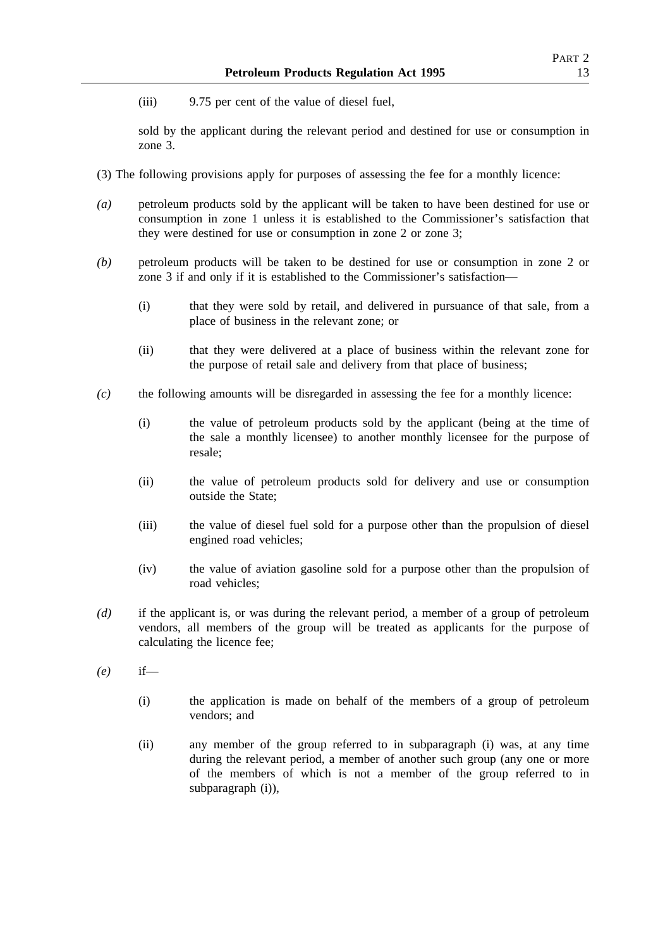(iii) 9.75 per cent of the value of diesel fuel,

sold by the applicant during the relevant period and destined for use or consumption in zone 3.

- (3) The following provisions apply for purposes of assessing the fee for a monthly licence:
- *(a)* petroleum products sold by the applicant will be taken to have been destined for use or consumption in zone 1 unless it is established to the Commissioner's satisfaction that they were destined for use or consumption in zone 2 or zone 3;
- *(b)* petroleum products will be taken to be destined for use or consumption in zone 2 or zone 3 if and only if it is established to the Commissioner's satisfaction—
	- (i) that they were sold by retail, and delivered in pursuance of that sale, from a place of business in the relevant zone; or
	- (ii) that they were delivered at a place of business within the relevant zone for the purpose of retail sale and delivery from that place of business;
- *(c)* the following amounts will be disregarded in assessing the fee for a monthly licence:
	- (i) the value of petroleum products sold by the applicant (being at the time of the sale a monthly licensee) to another monthly licensee for the purpose of resale;
	- (ii) the value of petroleum products sold for delivery and use or consumption outside the State;
	- (iii) the value of diesel fuel sold for a purpose other than the propulsion of diesel engined road vehicles;
	- (iv) the value of aviation gasoline sold for a purpose other than the propulsion of road vehicles;
- *(d)* if the applicant is, or was during the relevant period, a member of a group of petroleum vendors, all members of the group will be treated as applicants for the purpose of calculating the licence fee;
- *(e)* if—
	- (i) the application is made on behalf of the members of a group of petroleum vendors; and
	- (ii) any member of the group referred to in subparagraph (i) was, at any time during the relevant period, a member of another such group (any one or more of the members of which is not a member of the group referred to in subparagraph (i)),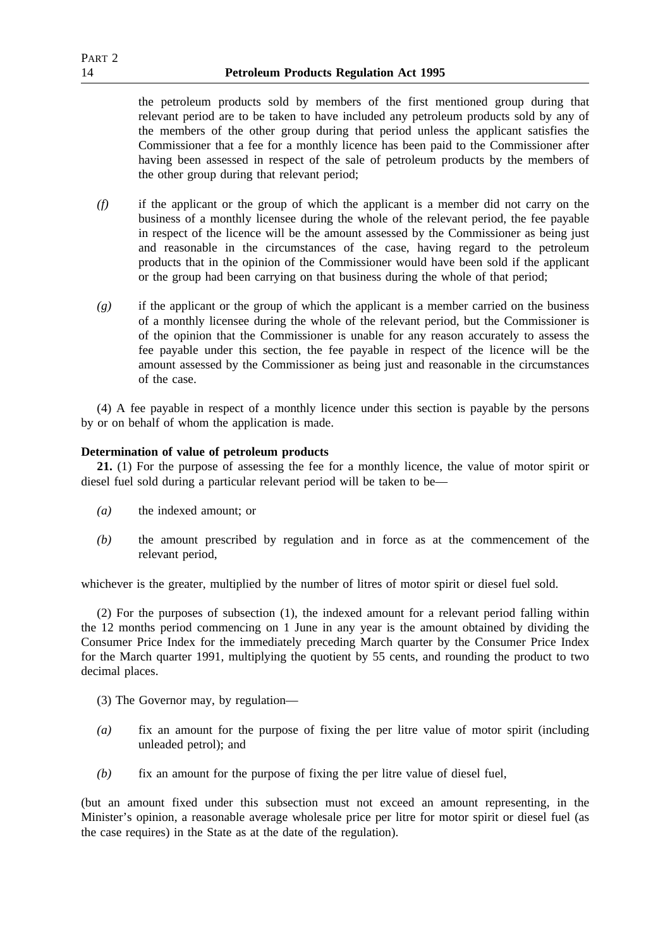the petroleum products sold by members of the first mentioned group during that relevant period are to be taken to have included any petroleum products sold by any of the members of the other group during that period unless the applicant satisfies the Commissioner that a fee for a monthly licence has been paid to the Commissioner after having been assessed in respect of the sale of petroleum products by the members of the other group during that relevant period;

- *(f)* if the applicant or the group of which the applicant is a member did not carry on the business of a monthly licensee during the whole of the relevant period, the fee payable in respect of the licence will be the amount assessed by the Commissioner as being just and reasonable in the circumstances of the case, having regard to the petroleum products that in the opinion of the Commissioner would have been sold if the applicant or the group had been carrying on that business during the whole of that period;
- *(g)* if the applicant or the group of which the applicant is a member carried on the business of a monthly licensee during the whole of the relevant period, but the Commissioner is of the opinion that the Commissioner is unable for any reason accurately to assess the fee payable under this section, the fee payable in respect of the licence will be the amount assessed by the Commissioner as being just and reasonable in the circumstances of the case.

(4) A fee payable in respect of a monthly licence under this section is payable by the persons by or on behalf of whom the application is made.

## **Determination of value of petroleum products**

**21.** (1) For the purpose of assessing the fee for a monthly licence, the value of motor spirit or diesel fuel sold during a particular relevant period will be taken to be—

- *(a)* the indexed amount; or
- *(b)* the amount prescribed by regulation and in force as at the commencement of the relevant period,

whichever is the greater, multiplied by the number of litres of motor spirit or diesel fuel sold.

(2) For the purposes of subsection (1), the indexed amount for a relevant period falling within the 12 months period commencing on 1 June in any year is the amount obtained by dividing the Consumer Price Index for the immediately preceding March quarter by the Consumer Price Index for the March quarter 1991, multiplying the quotient by 55 cents, and rounding the product to two decimal places.

- (3) The Governor may, by regulation—
- *(a)* fix an amount for the purpose of fixing the per litre value of motor spirit (including unleaded petrol); and
- *(b)* fix an amount for the purpose of fixing the per litre value of diesel fuel,

(but an amount fixed under this subsection must not exceed an amount representing, in the Minister's opinion, a reasonable average wholesale price per litre for motor spirit or diesel fuel (as the case requires) in the State as at the date of the regulation).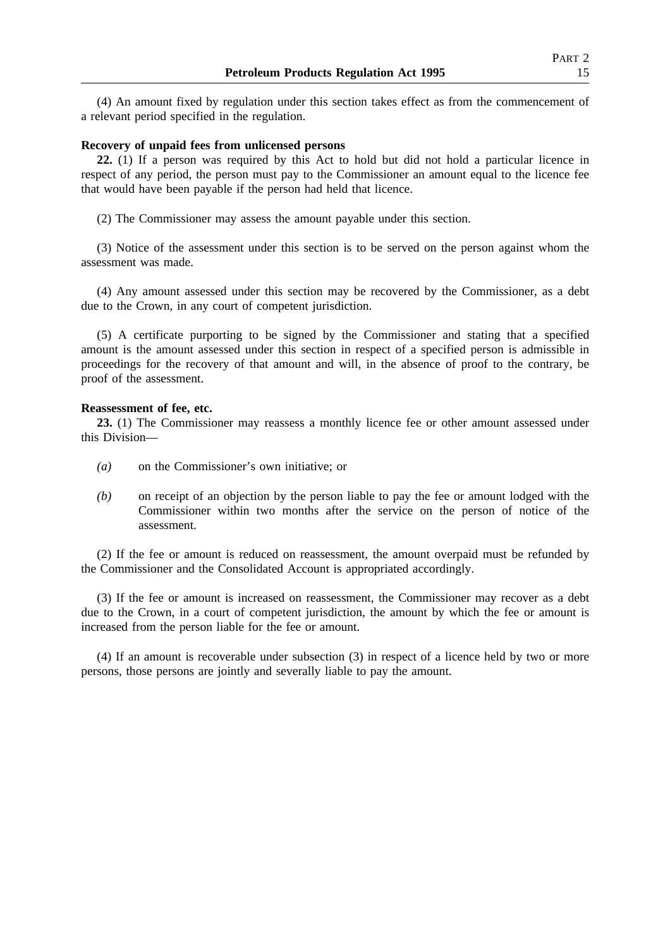(4) An amount fixed by regulation under this section takes effect as from the commencement of a relevant period specified in the regulation.

### **Recovery of unpaid fees from unlicensed persons**

**22.** (1) If a person was required by this Act to hold but did not hold a particular licence in respect of any period, the person must pay to the Commissioner an amount equal to the licence fee that would have been payable if the person had held that licence.

(2) The Commissioner may assess the amount payable under this section.

(3) Notice of the assessment under this section is to be served on the person against whom the assessment was made.

(4) Any amount assessed under this section may be recovered by the Commissioner, as a debt due to the Crown, in any court of competent jurisdiction.

(5) A certificate purporting to be signed by the Commissioner and stating that a specified amount is the amount assessed under this section in respect of a specified person is admissible in proceedings for the recovery of that amount and will, in the absence of proof to the contrary, be proof of the assessment.

### **Reassessment of fee, etc.**

**23.** (1) The Commissioner may reassess a monthly licence fee or other amount assessed under this Division—

- *(a)* on the Commissioner's own initiative; or
- *(b)* on receipt of an objection by the person liable to pay the fee or amount lodged with the Commissioner within two months after the service on the person of notice of the assessment.

(2) If the fee or amount is reduced on reassessment, the amount overpaid must be refunded by the Commissioner and the Consolidated Account is appropriated accordingly.

(3) If the fee or amount is increased on reassessment, the Commissioner may recover as a debt due to the Crown, in a court of competent jurisdiction, the amount by which the fee or amount is increased from the person liable for the fee or amount.

(4) If an amount is recoverable under subsection (3) in respect of a licence held by two or more persons, those persons are jointly and severally liable to pay the amount.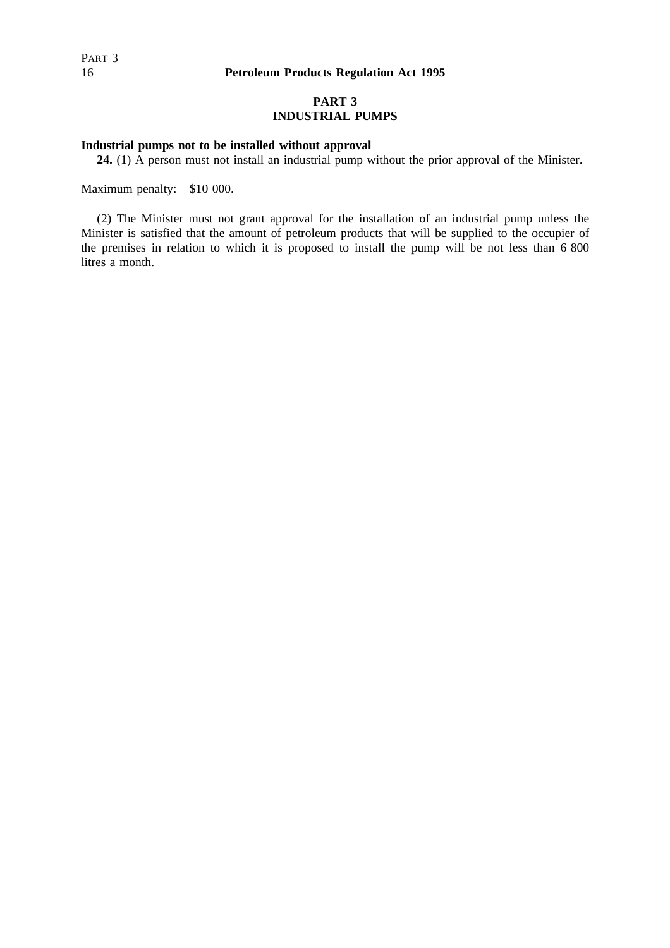## **PART 3 INDUSTRIAL PUMPS**

## **Industrial pumps not to be installed without approval**

**24.** (1) A person must not install an industrial pump without the prior approval of the Minister.

Maximum penalty: \$10 000.

(2) The Minister must not grant approval for the installation of an industrial pump unless the Minister is satisfied that the amount of petroleum products that will be supplied to the occupier of the premises in relation to which it is proposed to install the pump will be not less than 6 800 litres a month.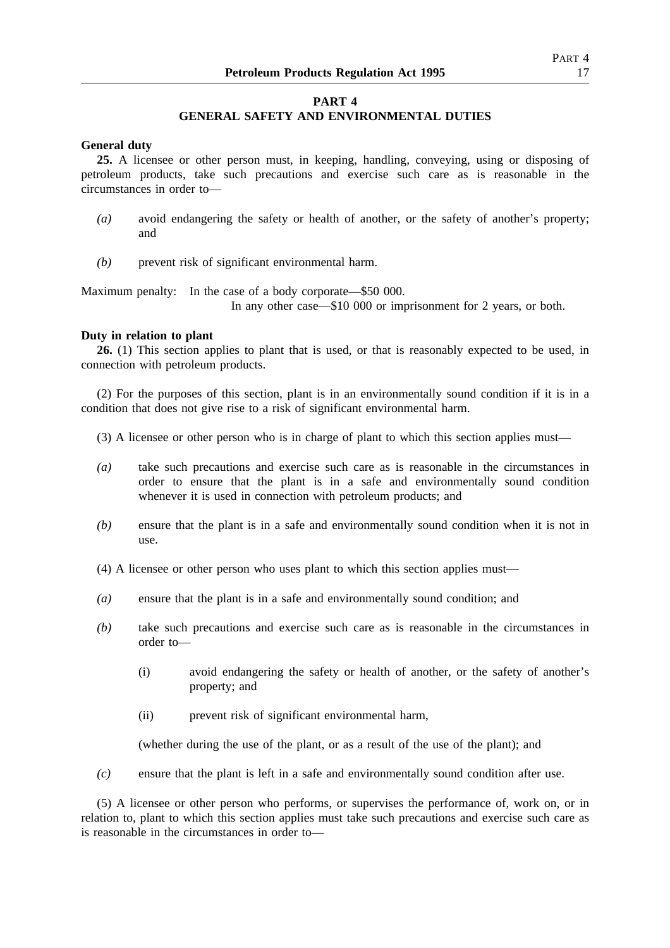## **PART 4**

## **GENERAL SAFETY AND ENVIRONMENTAL DUTIES**

### **General duty**

**25.** A licensee or other person must, in keeping, handling, conveying, using or disposing of petroleum products, take such precautions and exercise such care as is reasonable in the circumstances in order to—

- *(a)* avoid endangering the safety or health of another, or the safety of another's property; and
- *(b)* prevent risk of significant environmental harm.

Maximum penalty: In the case of a body corporate—\$50 000.

In any other case—\$10 000 or imprisonment for 2 years, or both.

### **Duty in relation to plant**

**26.** (1) This section applies to plant that is used, or that is reasonably expected to be used, in connection with petroleum products.

(2) For the purposes of this section, plant is in an environmentally sound condition if it is in a condition that does not give rise to a risk of significant environmental harm.

- (3) A licensee or other person who is in charge of plant to which this section applies must—
- *(a)* take such precautions and exercise such care as is reasonable in the circumstances in order to ensure that the plant is in a safe and environmentally sound condition whenever it is used in connection with petroleum products; and
- *(b)* ensure that the plant is in a safe and environmentally sound condition when it is not in use.
- (4) A licensee or other person who uses plant to which this section applies must—
- *(a)* ensure that the plant is in a safe and environmentally sound condition; and
- *(b)* take such precautions and exercise such care as is reasonable in the circumstances in order to—
	- (i) avoid endangering the safety or health of another, or the safety of another's property; and
	- (ii) prevent risk of significant environmental harm,

(whether during the use of the plant, or as a result of the use of the plant); and

*(c)* ensure that the plant is left in a safe and environmentally sound condition after use.

(5) A licensee or other person who performs, or supervises the performance of, work on, or in relation to, plant to which this section applies must take such precautions and exercise such care as is reasonable in the circumstances in order to—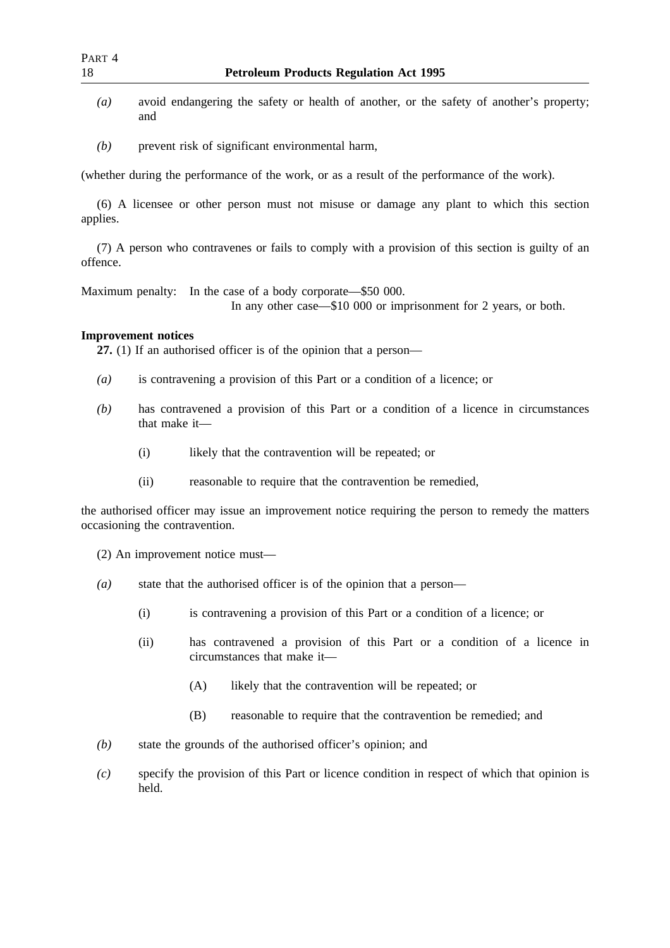- *(a)* avoid endangering the safety or health of another, or the safety of another's property; and
- *(b)* prevent risk of significant environmental harm,

(whether during the performance of the work, or as a result of the performance of the work).

(6) A licensee or other person must not misuse or damage any plant to which this section applies.

(7) A person who contravenes or fails to comply with a provision of this section is guilty of an offence.

Maximum penalty: In the case of a body corporate—\$50 000.

In any other case—\$10 000 or imprisonment for 2 years, or both.

## **Improvement notices**

**27.** (1) If an authorised officer is of the opinion that a person—

- *(a)* is contravening a provision of this Part or a condition of a licence; or
- *(b)* has contravened a provision of this Part or a condition of a licence in circumstances that make it—
	- (i) likely that the contravention will be repeated; or
	- (ii) reasonable to require that the contravention be remedied,

the authorised officer may issue an improvement notice requiring the person to remedy the matters occasioning the contravention.

(2) An improvement notice must—

- *(a)* state that the authorised officer is of the opinion that a person—
	- (i) is contravening a provision of this Part or a condition of a licence; or
	- (ii) has contravened a provision of this Part or a condition of a licence in circumstances that make it—
		- (A) likely that the contravention will be repeated; or
		- (B) reasonable to require that the contravention be remedied; and
- *(b)* state the grounds of the authorised officer's opinion; and
- *(c)* specify the provision of this Part or licence condition in respect of which that opinion is held.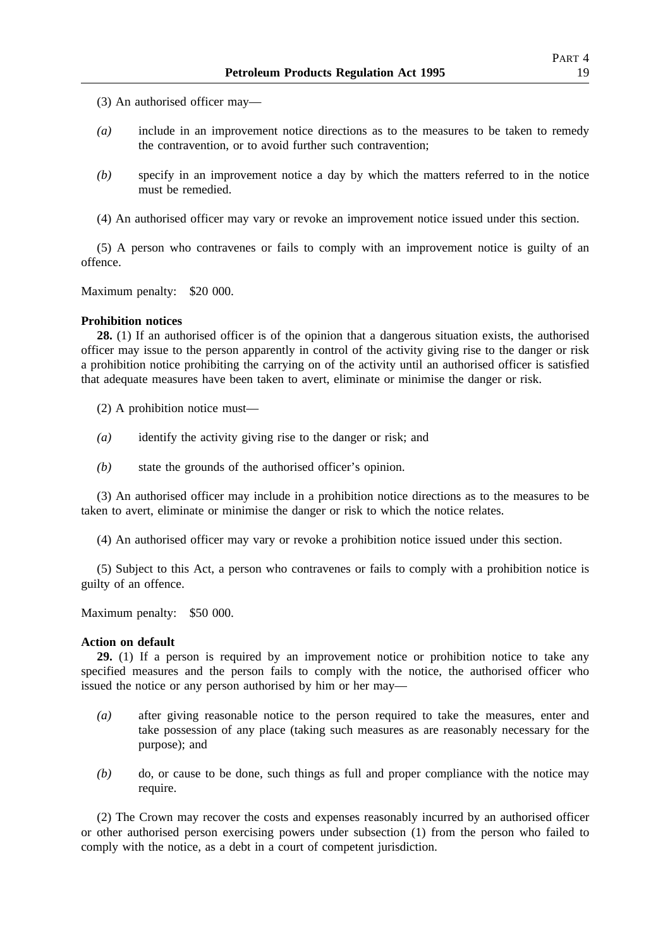- (3) An authorised officer may—
- *(a)* include in an improvement notice directions as to the measures to be taken to remedy the contravention, or to avoid further such contravention;
- *(b)* specify in an improvement notice a day by which the matters referred to in the notice must be remedied.
- (4) An authorised officer may vary or revoke an improvement notice issued under this section.

(5) A person who contravenes or fails to comply with an improvement notice is guilty of an offence.

Maximum penalty: \$20 000.

### **Prohibition notices**

**28.** (1) If an authorised officer is of the opinion that a dangerous situation exists, the authorised officer may issue to the person apparently in control of the activity giving rise to the danger or risk a prohibition notice prohibiting the carrying on of the activity until an authorised officer is satisfied that adequate measures have been taken to avert, eliminate or minimise the danger or risk.

- (2) A prohibition notice must—
- *(a)* identify the activity giving rise to the danger or risk; and
- *(b)* state the grounds of the authorised officer's opinion.

(3) An authorised officer may include in a prohibition notice directions as to the measures to be taken to avert, eliminate or minimise the danger or risk to which the notice relates.

(4) An authorised officer may vary or revoke a prohibition notice issued under this section.

(5) Subject to this Act, a person who contravenes or fails to comply with a prohibition notice is guilty of an offence.

Maximum penalty: \$50 000.

### **Action on default**

**29.** (1) If a person is required by an improvement notice or prohibition notice to take any specified measures and the person fails to comply with the notice, the authorised officer who issued the notice or any person authorised by him or her may—

- *(a)* after giving reasonable notice to the person required to take the measures, enter and take possession of any place (taking such measures as are reasonably necessary for the purpose); and
- *(b)* do, or cause to be done, such things as full and proper compliance with the notice may require.

(2) The Crown may recover the costs and expenses reasonably incurred by an authorised officer or other authorised person exercising powers under subsection (1) from the person who failed to comply with the notice, as a debt in a court of competent jurisdiction.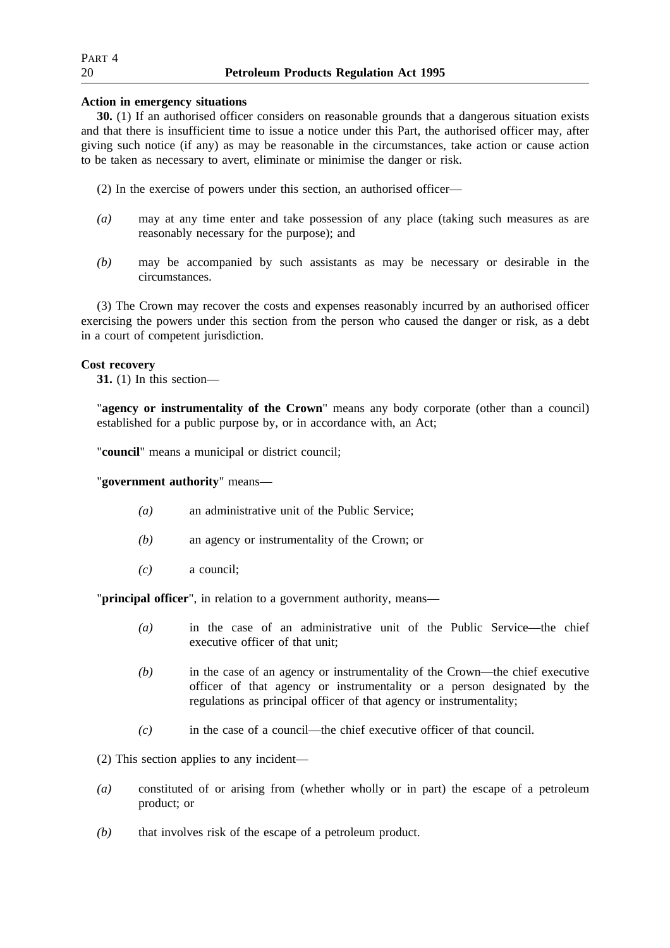## **Action in emergency situations**

**30.** (1) If an authorised officer considers on reasonable grounds that a dangerous situation exists and that there is insufficient time to issue a notice under this Part, the authorised officer may, after giving such notice (if any) as may be reasonable in the circumstances, take action or cause action to be taken as necessary to avert, eliminate or minimise the danger or risk.

(2) In the exercise of powers under this section, an authorised officer—

- *(a)* may at any time enter and take possession of any place (taking such measures as are reasonably necessary for the purpose); and
- *(b)* may be accompanied by such assistants as may be necessary or desirable in the circumstances.

(3) The Crown may recover the costs and expenses reasonably incurred by an authorised officer exercising the powers under this section from the person who caused the danger or risk, as a debt in a court of competent jurisdiction.

## **Cost recovery**

**31.** (1) In this section—

"**agency or instrumentality of the Crown**" means any body corporate (other than a council) established for a public purpose by, or in accordance with, an Act;

"**council**" means a municipal or district council;

"**government authority**" means—

- *(a)* an administrative unit of the Public Service;
- *(b)* an agency or instrumentality of the Crown; or
- *(c)* a council;

"**principal officer**", in relation to a government authority, means—

- *(a)* in the case of an administrative unit of the Public Service—the chief executive officer of that unit;
- *(b)* in the case of an agency or instrumentality of the Crown—the chief executive officer of that agency or instrumentality or a person designated by the regulations as principal officer of that agency or instrumentality;
- *(c)* in the case of a council—the chief executive officer of that council.

(2) This section applies to any incident—

- *(a)* constituted of or arising from (whether wholly or in part) the escape of a petroleum product; or
- *(b)* that involves risk of the escape of a petroleum product.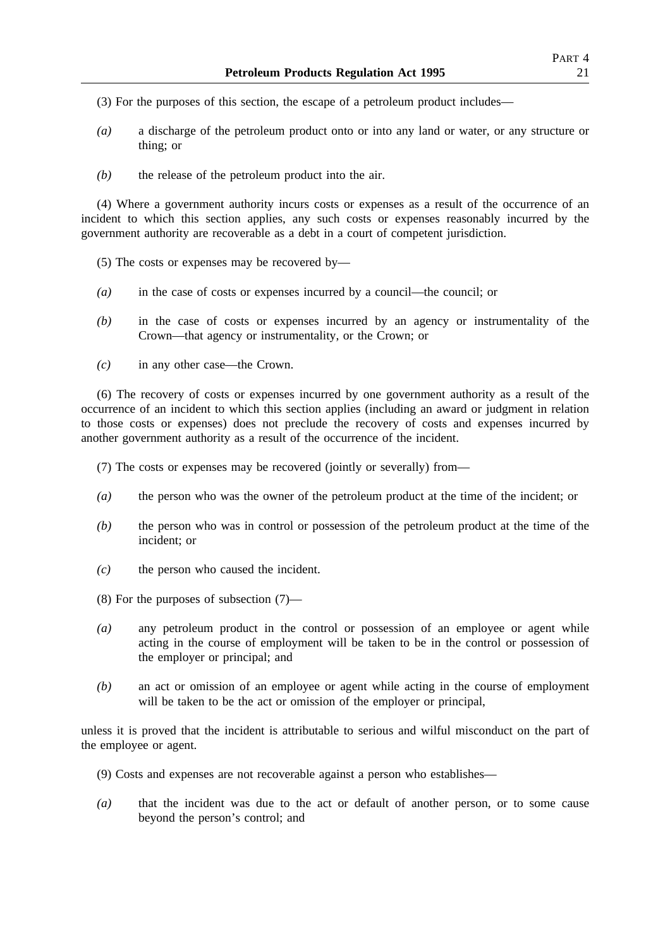- (3) For the purposes of this section, the escape of a petroleum product includes—
- *(a)* a discharge of the petroleum product onto or into any land or water, or any structure or thing; or
- *(b)* the release of the petroleum product into the air.

(4) Where a government authority incurs costs or expenses as a result of the occurrence of an incident to which this section applies, any such costs or expenses reasonably incurred by the government authority are recoverable as a debt in a court of competent jurisdiction.

- (5) The costs or expenses may be recovered by—
- *(a)* in the case of costs or expenses incurred by a council—the council; or
- *(b)* in the case of costs or expenses incurred by an agency or instrumentality of the Crown—that agency or instrumentality, or the Crown; or
- *(c)* in any other case—the Crown.

(6) The recovery of costs or expenses incurred by one government authority as a result of the occurrence of an incident to which this section applies (including an award or judgment in relation to those costs or expenses) does not preclude the recovery of costs and expenses incurred by another government authority as a result of the occurrence of the incident.

(7) The costs or expenses may be recovered (jointly or severally) from—

- *(a)* the person who was the owner of the petroleum product at the time of the incident; or
- *(b)* the person who was in control or possession of the petroleum product at the time of the incident; or
- *(c)* the person who caused the incident.
- (8) For the purposes of subsection (7)—
- *(a)* any petroleum product in the control or possession of an employee or agent while acting in the course of employment will be taken to be in the control or possession of the employer or principal; and
- *(b)* an act or omission of an employee or agent while acting in the course of employment will be taken to be the act or omission of the employer or principal,

unless it is proved that the incident is attributable to serious and wilful misconduct on the part of the employee or agent.

- (9) Costs and expenses are not recoverable against a person who establishes—
- *(a)* that the incident was due to the act or default of another person, or to some cause beyond the person's control; and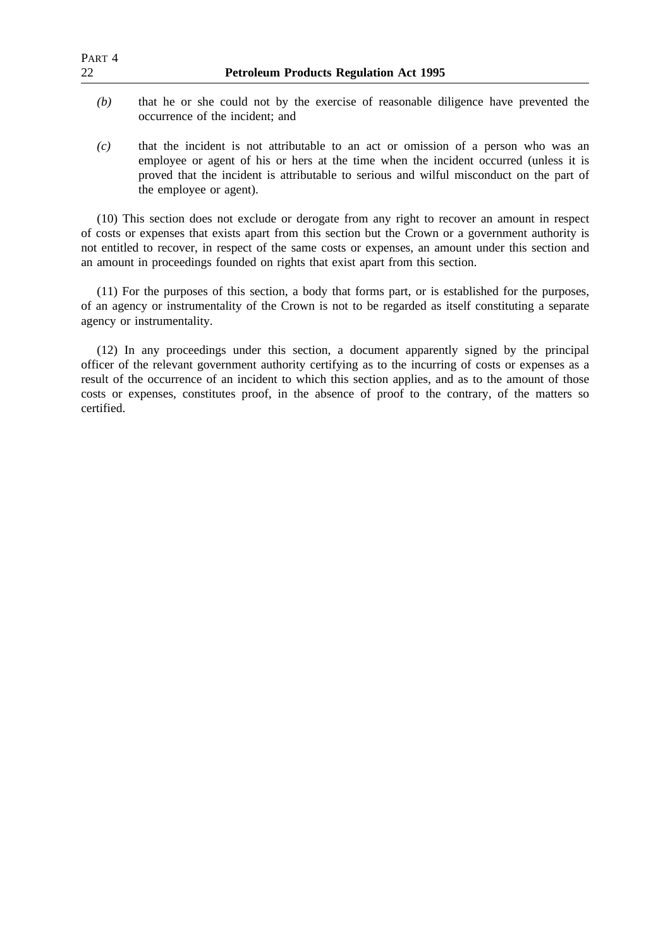| PART 4<br>22 | <b>Petroleum Products Regulation Act 1995</b>                                                                                                                                                                                                                           |
|--------------|-------------------------------------------------------------------------------------------------------------------------------------------------------------------------------------------------------------------------------------------------------------------------|
| (b)          | that he or she could not by the exercise of reasonable diligence have prevented the<br>occurrence of the incident; and                                                                                                                                                  |
| (c)          | that the incident is not attributable to an act or omission of a person who was an<br>employee or agent of his or hers at the time when the incident occurred (unless it is<br>proved that the incident is attributable to serious and wilful misconduct on the part of |

(10) This section does not exclude or derogate from any right to recover an amount in respect of costs or expenses that exists apart from this section but the Crown or a government authority is not entitled to recover, in respect of the same costs or expenses, an amount under this section and an amount in proceedings founded on rights that exist apart from this section.

the employee or agent).

(11) For the purposes of this section, a body that forms part, or is established for the purposes, of an agency or instrumentality of the Crown is not to be regarded as itself constituting a separate agency or instrumentality.

(12) In any proceedings under this section, a document apparently signed by the principal officer of the relevant government authority certifying as to the incurring of costs or expenses as a result of the occurrence of an incident to which this section applies, and as to the amount of those costs or expenses, constitutes proof, in the absence of proof to the contrary, of the matters so certified.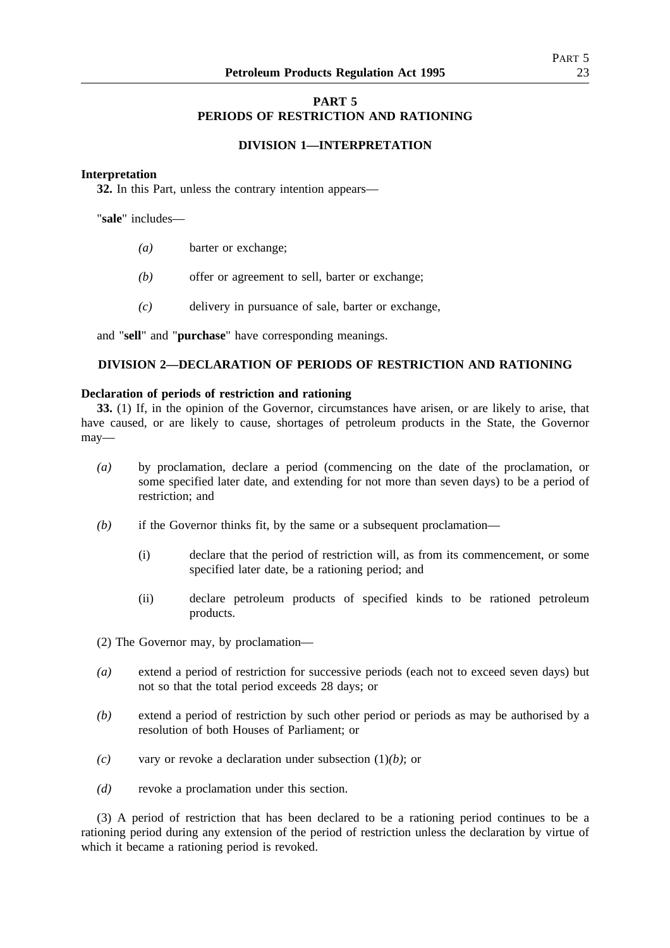## **PART 5 PERIODS OF RESTRICTION AND RATIONING**

## **DIVISION 1—INTERPRETATION**

## **Interpretation**

**32.** In this Part, unless the contrary intention appears—

"**sale**" includes—

- *(a)* barter or exchange;
- *(b)* offer or agreement to sell, barter or exchange;
- *(c)* delivery in pursuance of sale, barter or exchange,

and "**sell**" and "**purchase**" have corresponding meanings.

## **DIVISION 2—DECLARATION OF PERIODS OF RESTRICTION AND RATIONING**

## **Declaration of periods of restriction and rationing**

**33.** (1) If, in the opinion of the Governor, circumstances have arisen, or are likely to arise, that have caused, or are likely to cause, shortages of petroleum products in the State, the Governor may—

- *(a)* by proclamation, declare a period (commencing on the date of the proclamation, or some specified later date, and extending for not more than seven days) to be a period of restriction; and
- *(b)* if the Governor thinks fit, by the same or a subsequent proclamation—
	- (i) declare that the period of restriction will, as from its commencement, or some specified later date, be a rationing period; and
	- (ii) declare petroleum products of specified kinds to be rationed petroleum products.

(2) The Governor may, by proclamation—

- *(a)* extend a period of restriction for successive periods (each not to exceed seven days) but not so that the total period exceeds 28 days; or
- *(b)* extend a period of restriction by such other period or periods as may be authorised by a resolution of both Houses of Parliament; or
- *(c)* vary or revoke a declaration under subsection (1)*(b)*; or
- *(d)* revoke a proclamation under this section.

(3) A period of restriction that has been declared to be a rationing period continues to be a rationing period during any extension of the period of restriction unless the declaration by virtue of which it became a rationing period is revoked.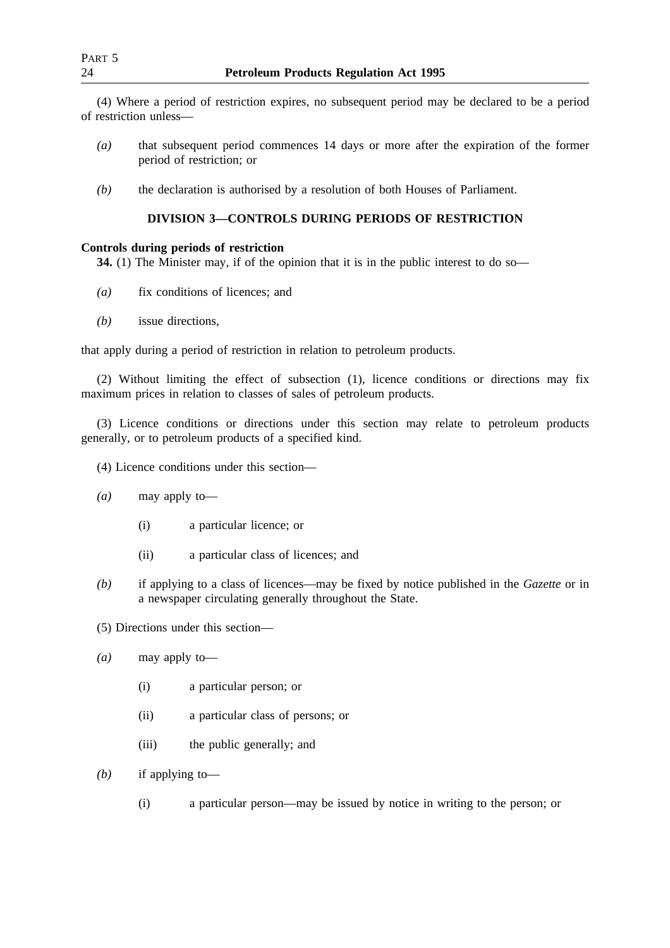(4) Where a period of restriction expires, no subsequent period may be declared to be a period of restriction unless—

- *(a)* that subsequent period commences 14 days or more after the expiration of the former period of restriction; or
- *(b)* the declaration is authorised by a resolution of both Houses of Parliament.

## **DIVISION 3—CONTROLS DURING PERIODS OF RESTRICTION**

## **Controls during periods of restriction**

**34.** (1) The Minister may, if of the opinion that it is in the public interest to do so—

- *(a)* fix conditions of licences; and
- *(b)* issue directions,

that apply during a period of restriction in relation to petroleum products.

(2) Without limiting the effect of subsection (1), licence conditions or directions may fix maximum prices in relation to classes of sales of petroleum products.

(3) Licence conditions or directions under this section may relate to petroleum products generally, or to petroleum products of a specified kind.

- (4) Licence conditions under this section—
- *(a)* may apply to—
	- (i) a particular licence; or
	- (ii) a particular class of licences; and
- *(b)* if applying to a class of licences—may be fixed by notice published in the *Gazette* or in a newspaper circulating generally throughout the State.
- (5) Directions under this section—
- *(a)* may apply to—
	- (i) a particular person; or
	- (ii) a particular class of persons; or
	- (iii) the public generally; and
- *(b)* if applying to—
	- (i) a particular person—may be issued by notice in writing to the person; or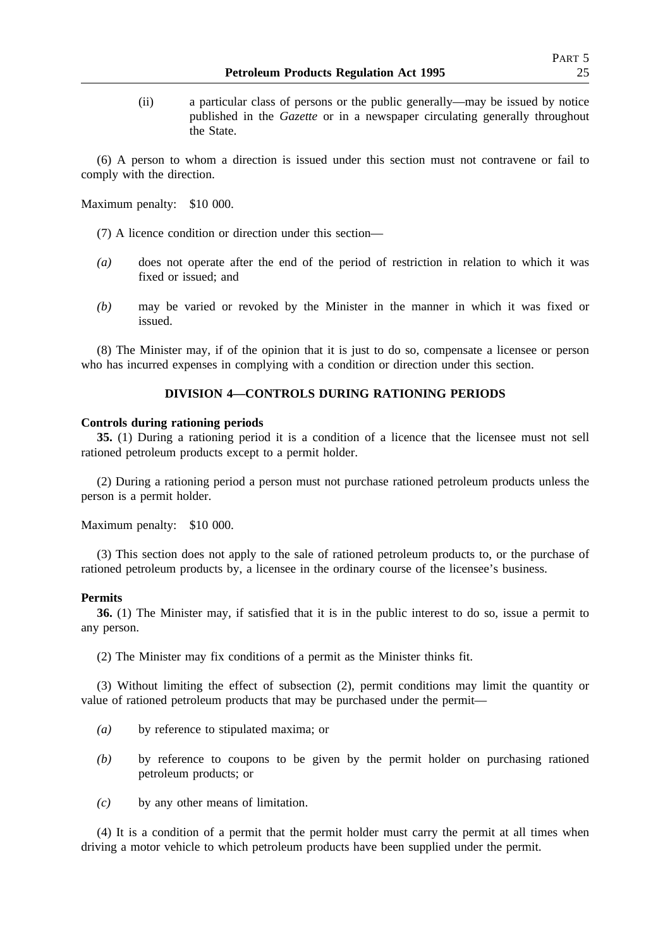(ii) a particular class of persons or the public generally—may be issued by notice published in the *Gazette* or in a newspaper circulating generally throughout the State.

(6) A person to whom a direction is issued under this section must not contravene or fail to comply with the direction.

Maximum penalty: \$10 000.

- (7) A licence condition or direction under this section—
- *(a)* does not operate after the end of the period of restriction in relation to which it was fixed or issued; and
- *(b)* may be varied or revoked by the Minister in the manner in which it was fixed or issued.

(8) The Minister may, if of the opinion that it is just to do so, compensate a licensee or person who has incurred expenses in complying with a condition or direction under this section.

## **DIVISION 4—CONTROLS DURING RATIONING PERIODS**

#### **Controls during rationing periods**

**35.** (1) During a rationing period it is a condition of a licence that the licensee must not sell rationed petroleum products except to a permit holder.

(2) During a rationing period a person must not purchase rationed petroleum products unless the person is a permit holder.

Maximum penalty: \$10 000.

(3) This section does not apply to the sale of rationed petroleum products to, or the purchase of rationed petroleum products by, a licensee in the ordinary course of the licensee's business.

## **Permits**

**36.** (1) The Minister may, if satisfied that it is in the public interest to do so, issue a permit to any person.

(2) The Minister may fix conditions of a permit as the Minister thinks fit.

(3) Without limiting the effect of subsection (2), permit conditions may limit the quantity or value of rationed petroleum products that may be purchased under the permit—

- *(a)* by reference to stipulated maxima; or
- *(b)* by reference to coupons to be given by the permit holder on purchasing rationed petroleum products; or
- *(c)* by any other means of limitation.

(4) It is a condition of a permit that the permit holder must carry the permit at all times when driving a motor vehicle to which petroleum products have been supplied under the permit.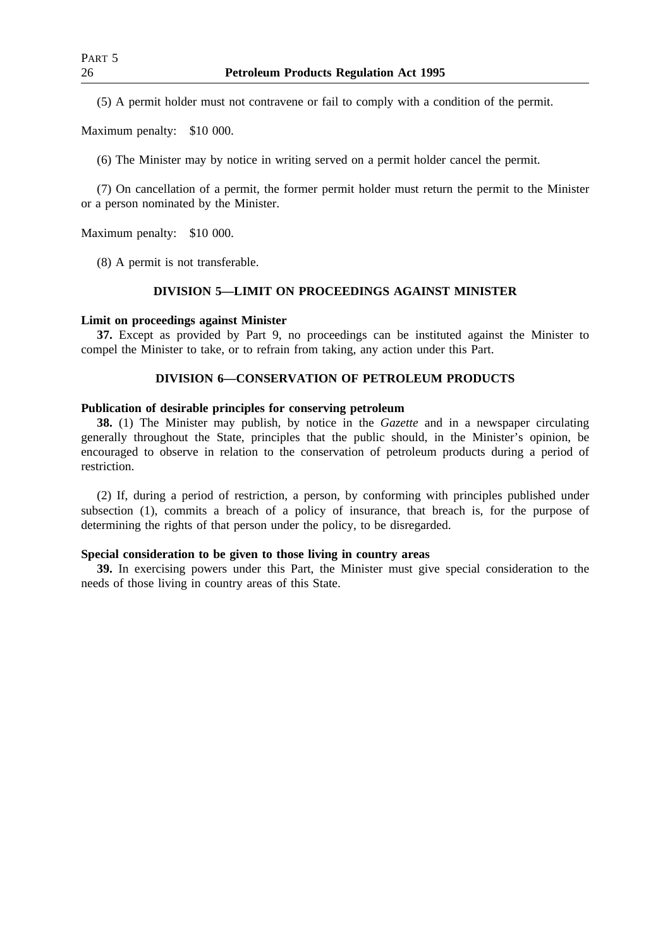(5) A permit holder must not contravene or fail to comply with a condition of the permit.

Maximum penalty: \$10 000.

(6) The Minister may by notice in writing served on a permit holder cancel the permit.

(7) On cancellation of a permit, the former permit holder must return the permit to the Minister or a person nominated by the Minister.

Maximum penalty: \$10 000.

(8) A permit is not transferable.

## **DIVISION 5—LIMIT ON PROCEEDINGS AGAINST MINISTER**

## **Limit on proceedings against Minister**

**37.** Except as provided by Part 9, no proceedings can be instituted against the Minister to compel the Minister to take, or to refrain from taking, any action under this Part.

## **DIVISION 6—CONSERVATION OF PETROLEUM PRODUCTS**

### **Publication of desirable principles for conserving petroleum**

**38.** (1) The Minister may publish, by notice in the *Gazette* and in a newspaper circulating generally throughout the State, principles that the public should, in the Minister's opinion, be encouraged to observe in relation to the conservation of petroleum products during a period of restriction.

(2) If, during a period of restriction, a person, by conforming with principles published under subsection (1), commits a breach of a policy of insurance, that breach is, for the purpose of determining the rights of that person under the policy, to be disregarded.

## **Special consideration to be given to those living in country areas**

**39.** In exercising powers under this Part, the Minister must give special consideration to the needs of those living in country areas of this State.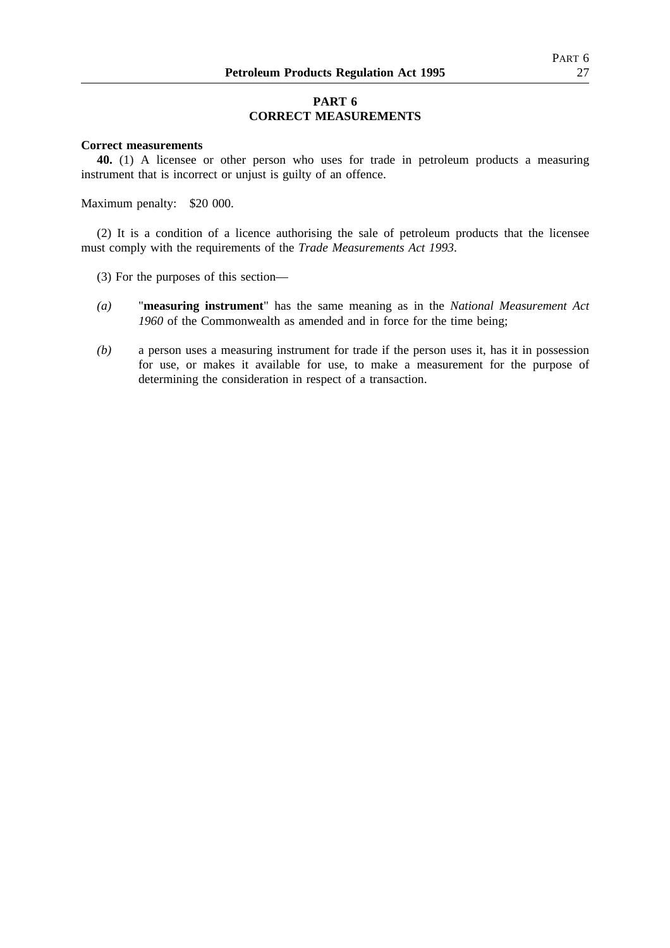## **PART 6 CORRECT MEASUREMENTS**

## **Correct measurements**

**40.** (1) A licensee or other person who uses for trade in petroleum products a measuring instrument that is incorrect or unjust is guilty of an offence.

Maximum penalty: \$20 000.

(2) It is a condition of a licence authorising the sale of petroleum products that the licensee must comply with the requirements of the *Trade Measurements Act 1993*.

- (3) For the purposes of this section—
- *(a)* "**measuring instrument**" has the same meaning as in the *National Measurement Act 1960* of the Commonwealth as amended and in force for the time being;
- *(b)* a person uses a measuring instrument for trade if the person uses it, has it in possession for use, or makes it available for use, to make a measurement for the purpose of determining the consideration in respect of a transaction.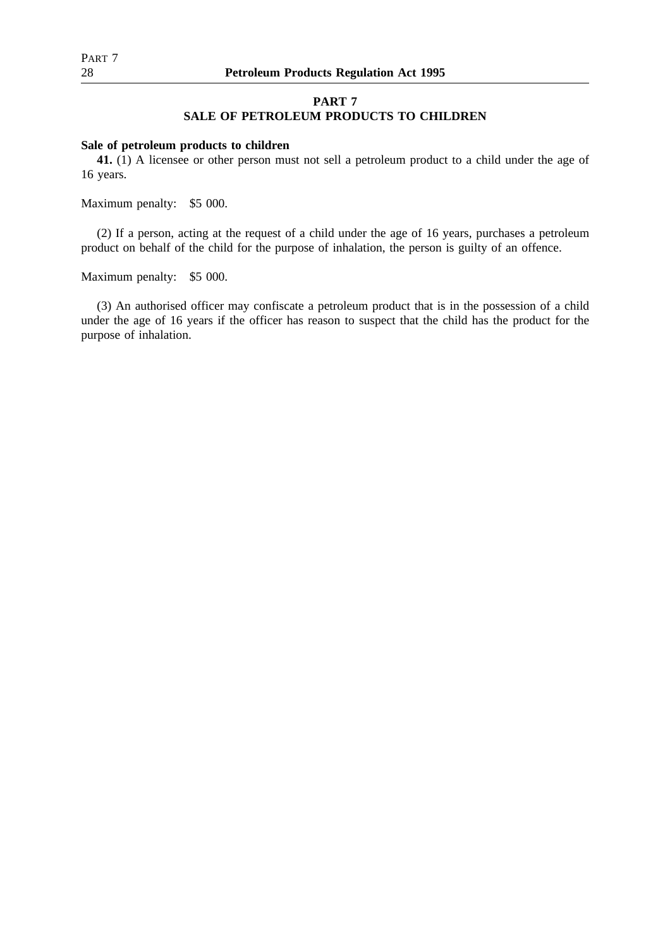## **PART 7 SALE OF PETROLEUM PRODUCTS TO CHILDREN**

### **Sale of petroleum products to children**

**41.** (1) A licensee or other person must not sell a petroleum product to a child under the age of 16 years.

Maximum penalty: \$5 000.

(2) If a person, acting at the request of a child under the age of 16 years, purchases a petroleum product on behalf of the child for the purpose of inhalation, the person is guilty of an offence.

Maximum penalty: \$5 000.

(3) An authorised officer may confiscate a petroleum product that is in the possession of a child under the age of 16 years if the officer has reason to suspect that the child has the product for the purpose of inhalation.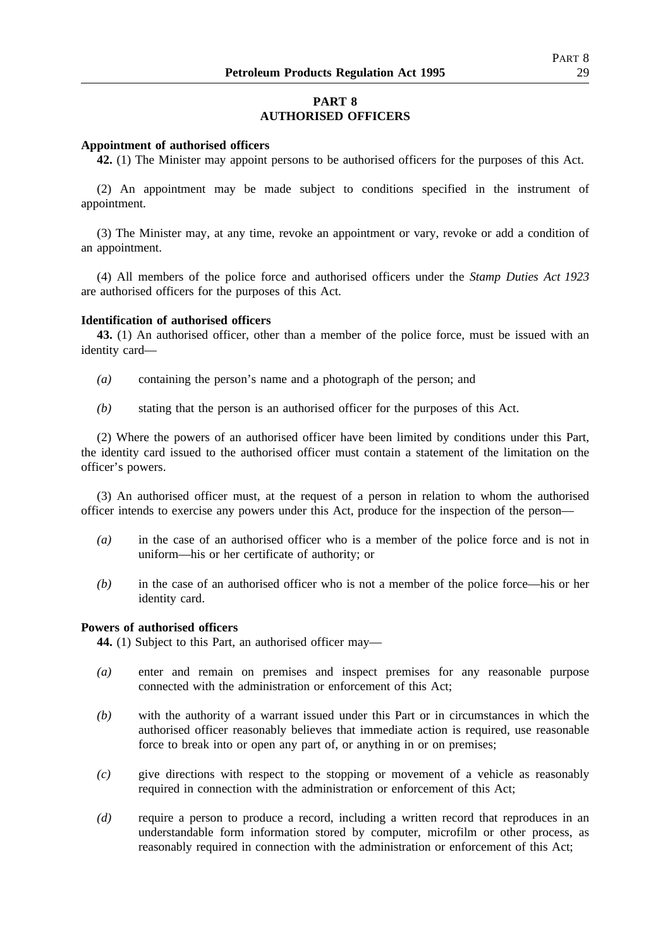## **PART 8 AUTHORISED OFFICERS**

### **Appointment of authorised officers**

**42.** (1) The Minister may appoint persons to be authorised officers for the purposes of this Act.

(2) An appointment may be made subject to conditions specified in the instrument of appointment.

(3) The Minister may, at any time, revoke an appointment or vary, revoke or add a condition of an appointment.

(4) All members of the police force and authorised officers under the *Stamp Duties Act 1923* are authorised officers for the purposes of this Act.

### **Identification of authorised officers**

**43.** (1) An authorised officer, other than a member of the police force, must be issued with an identity card—

- *(a)* containing the person's name and a photograph of the person; and
- *(b)* stating that the person is an authorised officer for the purposes of this Act.

(2) Where the powers of an authorised officer have been limited by conditions under this Part, the identity card issued to the authorised officer must contain a statement of the limitation on the officer's powers.

(3) An authorised officer must, at the request of a person in relation to whom the authorised officer intends to exercise any powers under this Act, produce for the inspection of the person—

- *(a)* in the case of an authorised officer who is a member of the police force and is not in uniform—his or her certificate of authority; or
- *(b)* in the case of an authorised officer who is not a member of the police force—his or her identity card.

## **Powers of authorised officers**

**44.** (1) Subject to this Part, an authorised officer may—

- *(a)* enter and remain on premises and inspect premises for any reasonable purpose connected with the administration or enforcement of this Act;
- *(b)* with the authority of a warrant issued under this Part or in circumstances in which the authorised officer reasonably believes that immediate action is required, use reasonable force to break into or open any part of, or anything in or on premises;
- *(c)* give directions with respect to the stopping or movement of a vehicle as reasonably required in connection with the administration or enforcement of this Act;
- *(d)* require a person to produce a record, including a written record that reproduces in an understandable form information stored by computer, microfilm or other process, as reasonably required in connection with the administration or enforcement of this Act;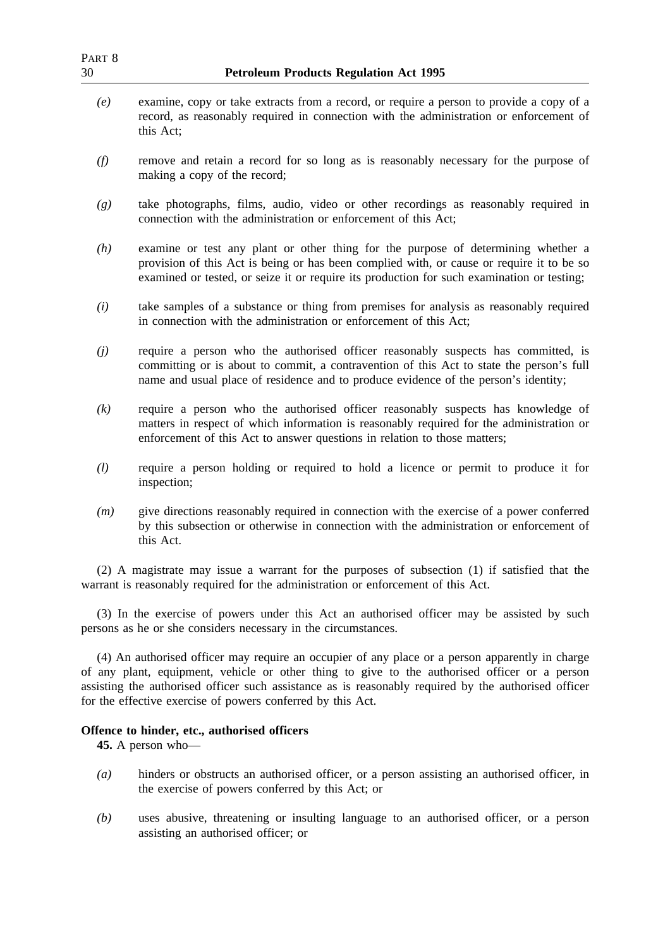| PART 8<br>30 | <b>Petroleum Products Regulation Act 1995</b>                                                                                                                                                                                                                                                                                                                           |
|--------------|-------------------------------------------------------------------------------------------------------------------------------------------------------------------------------------------------------------------------------------------------------------------------------------------------------------------------------------------------------------------------|
| (e)          | examine, copy or take extracts from a record, or require a person to provide a copy of a<br>record, as reasonably required in connection with the administration or enforcement of<br>this Act;                                                                                                                                                                         |
| (f)          | remove and retain a record for so long as is reasonably necessary for the purpose of<br>making a copy of the record;                                                                                                                                                                                                                                                    |
| (g)          | take photographs, films, audio, video or other recordings as reasonably required in<br>connection with the administration or enforcement of this Act;                                                                                                                                                                                                                   |
| (h)          | examine or test any plant or other thing for the purpose of determining whether a<br>provision of this Act is being or has been complied with, or cause or require it to be so<br>examined or tested, or seize it or require its production for such examination or testing;                                                                                            |
| (i)          | take samples of a substance or thing from premises for analysis as reasonably required<br>in connection with the administration or enforcement of this Act;                                                                                                                                                                                                             |
| (j)          | require a person who the authorised officer reasonably suspects has committed, is<br>committing or is about to commit, a contravention of this Act to state the person's full<br>name and usual place of residence and to produce evidence of the person's identity;                                                                                                    |
| (k)          | require a person who the authorised officer reasonably suspects has knowledge of<br>matters in respect of which information is reasonably required for the administration or<br>enforcement of this Act to answer questions in relation to those matters;                                                                                                               |
| (l)          | require a person holding or required to hold a licence or permit to produce it for<br>inspection;                                                                                                                                                                                                                                                                       |
| (m)          | give directions reasonably required in connection with the exercise of a power conferred<br>by this subsection or otherwise in connection with the administration or enforcement of<br>this Act.                                                                                                                                                                        |
|              | (2) A magistrate may issue a warrant for the purposes of subsection (1) if satisfied that the<br>warrant is reasonably required for the administration or enforcement of this Act.                                                                                                                                                                                      |
|              | (3) In the exercise of powers under this Act an authorised officer may be assisted by such<br>persons as he or she considers necessary in the circumstances.                                                                                                                                                                                                            |
|              | (4) An authorised officer may require an occupier of any place or a person apparently in charge<br>of any plant, equipment, vehicle or other thing to give to the authorised officer or a person<br>assisting the authorised officer such assistance as is reasonably required by the authorised officer<br>for the effective exercise of powers conferred by this Act. |

## **Offence to hinder, etc., authorised officers**

**45.** A person who—

- *(a)* hinders or obstructs an authorised officer, or a person assisting an authorised officer, in the exercise of powers conferred by this Act; or
- *(b)* uses abusive, threatening or insulting language to an authorised officer, or a person assisting an authorised officer; or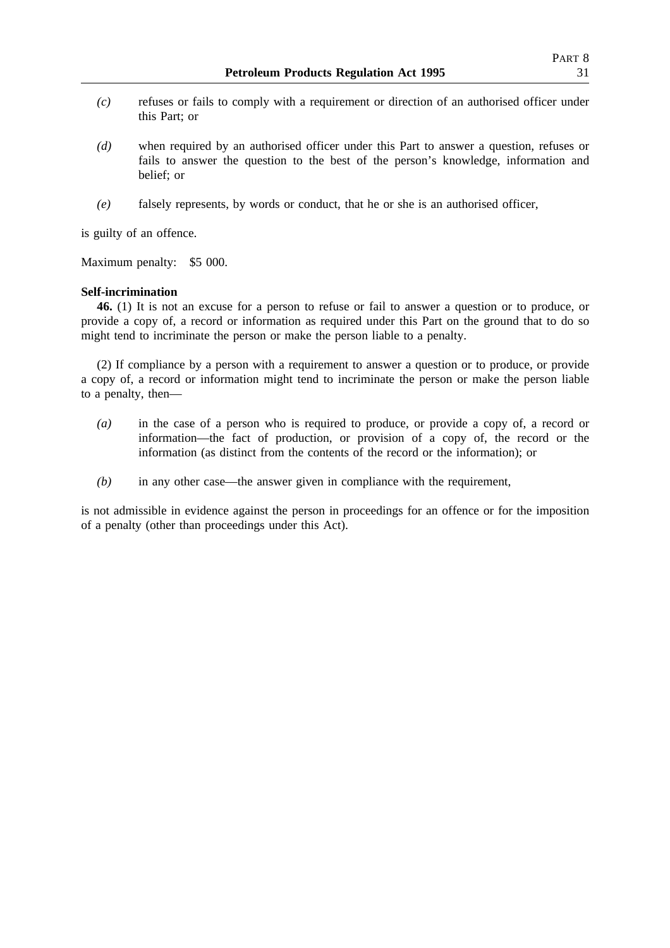- *(c)* refuses or fails to comply with a requirement or direction of an authorised officer under this Part; or
- *(d)* when required by an authorised officer under this Part to answer a question, refuses or fails to answer the question to the best of the person's knowledge, information and belief; or
- *(e)* falsely represents, by words or conduct, that he or she is an authorised officer,

is guilty of an offence.

Maximum penalty: \$5 000.

### **Self-incrimination**

**46.** (1) It is not an excuse for a person to refuse or fail to answer a question or to produce, or provide a copy of, a record or information as required under this Part on the ground that to do so might tend to incriminate the person or make the person liable to a penalty.

(2) If compliance by a person with a requirement to answer a question or to produce, or provide a copy of, a record or information might tend to incriminate the person or make the person liable to a penalty, then—

- *(a)* in the case of a person who is required to produce, or provide a copy of, a record or information—the fact of production, or provision of a copy of, the record or the information (as distinct from the contents of the record or the information); or
- *(b)* in any other case—the answer given in compliance with the requirement,

is not admissible in evidence against the person in proceedings for an offence or for the imposition of a penalty (other than proceedings under this Act).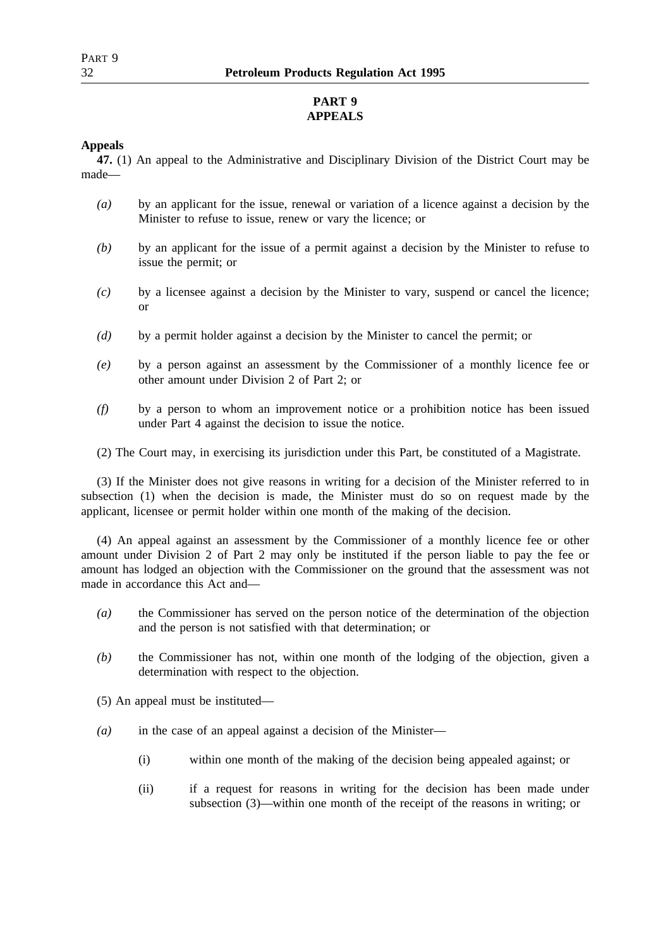# **PART 9 APPEALS**

## **Appeals**

**47.** (1) An appeal to the Administrative and Disciplinary Division of the District Court may be made—

- *(a)* by an applicant for the issue, renewal or variation of a licence against a decision by the Minister to refuse to issue, renew or vary the licence; or
- *(b)* by an applicant for the issue of a permit against a decision by the Minister to refuse to issue the permit; or
- *(c)* by a licensee against a decision by the Minister to vary, suspend or cancel the licence; or
- *(d)* by a permit holder against a decision by the Minister to cancel the permit; or
- *(e)* by a person against an assessment by the Commissioner of a monthly licence fee or other amount under Division 2 of Part 2; or
- *(f)* by a person to whom an improvement notice or a prohibition notice has been issued under Part 4 against the decision to issue the notice.
- (2) The Court may, in exercising its jurisdiction under this Part, be constituted of a Magistrate.

(3) If the Minister does not give reasons in writing for a decision of the Minister referred to in subsection (1) when the decision is made, the Minister must do so on request made by the applicant, licensee or permit holder within one month of the making of the decision.

(4) An appeal against an assessment by the Commissioner of a monthly licence fee or other amount under Division 2 of Part 2 may only be instituted if the person liable to pay the fee or amount has lodged an objection with the Commissioner on the ground that the assessment was not made in accordance this Act and—

- *(a)* the Commissioner has served on the person notice of the determination of the objection and the person is not satisfied with that determination; or
- *(b)* the Commissioner has not, within one month of the lodging of the objection, given a determination with respect to the objection.
- (5) An appeal must be instituted—
- *(a)* in the case of an appeal against a decision of the Minister—
	- (i) within one month of the making of the decision being appealed against; or
	- (ii) if a request for reasons in writing for the decision has been made under subsection (3)—within one month of the receipt of the reasons in writing; or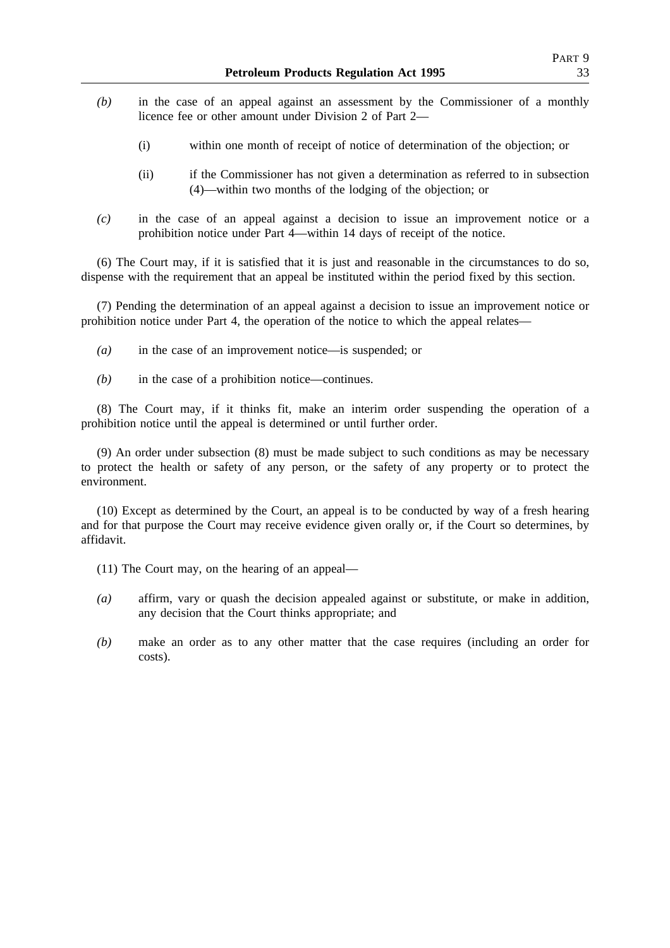- *(b)* in the case of an appeal against an assessment by the Commissioner of a monthly licence fee or other amount under Division 2 of Part 2—
	- (i) within one month of receipt of notice of determination of the objection; or
	- (ii) if the Commissioner has not given a determination as referred to in subsection (4)—within two months of the lodging of the objection; or
- *(c)* in the case of an appeal against a decision to issue an improvement notice or a prohibition notice under Part 4—within 14 days of receipt of the notice.

(6) The Court may, if it is satisfied that it is just and reasonable in the circumstances to do so, dispense with the requirement that an appeal be instituted within the period fixed by this section.

(7) Pending the determination of an appeal against a decision to issue an improvement notice or prohibition notice under Part 4, the operation of the notice to which the appeal relates—

- *(a)* in the case of an improvement notice—is suspended; or
- *(b)* in the case of a prohibition notice—continues.

(8) The Court may, if it thinks fit, make an interim order suspending the operation of a prohibition notice until the appeal is determined or until further order.

(9) An order under subsection (8) must be made subject to such conditions as may be necessary to protect the health or safety of any person, or the safety of any property or to protect the environment.

(10) Except as determined by the Court, an appeal is to be conducted by way of a fresh hearing and for that purpose the Court may receive evidence given orally or, if the Court so determines, by affidavit.

(11) The Court may, on the hearing of an appeal—

- *(a)* affirm, vary or quash the decision appealed against or substitute, or make in addition, any decision that the Court thinks appropriate; and
- *(b)* make an order as to any other matter that the case requires (including an order for costs).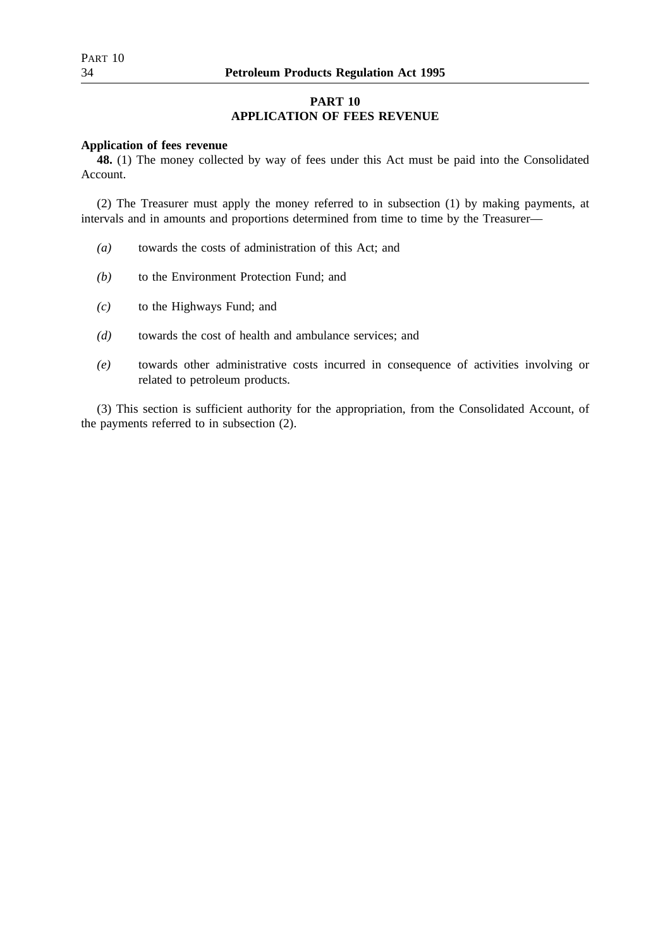## **PART 10 APPLICATION OF FEES REVENUE**

### **Application of fees revenue**

**48.** (1) The money collected by way of fees under this Act must be paid into the Consolidated Account.

(2) The Treasurer must apply the money referred to in subsection (1) by making payments, at intervals and in amounts and proportions determined from time to time by the Treasurer—

- *(a)* towards the costs of administration of this Act; and
- *(b)* to the Environment Protection Fund; and
- *(c)* to the Highways Fund; and
- *(d)* towards the cost of health and ambulance services; and
- *(e)* towards other administrative costs incurred in consequence of activities involving or related to petroleum products.

(3) This section is sufficient authority for the appropriation, from the Consolidated Account, of the payments referred to in subsection (2).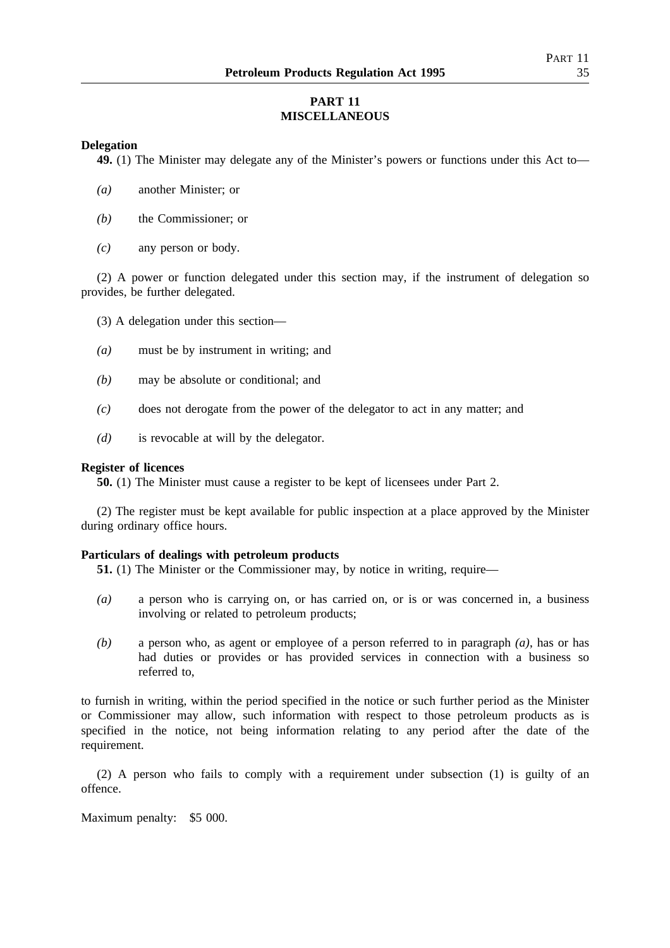## **PART 11 MISCELLANEOUS**

## **Delegation**

**49.** (1) The Minister may delegate any of the Minister's powers or functions under this Act to—

- *(a)* another Minister; or
- *(b)* the Commissioner; or
- *(c)* any person or body.

(2) A power or function delegated under this section may, if the instrument of delegation so provides, be further delegated.

- (3) A delegation under this section—
- *(a)* must be by instrument in writing; and
- *(b)* may be absolute or conditional; and
- *(c)* does not derogate from the power of the delegator to act in any matter; and
- *(d)* is revocable at will by the delegator.

### **Register of licences**

**50.** (1) The Minister must cause a register to be kept of licensees under Part 2.

(2) The register must be kept available for public inspection at a place approved by the Minister during ordinary office hours.

## **Particulars of dealings with petroleum products**

**51.** (1) The Minister or the Commissioner may, by notice in writing, require—

- *(a)* a person who is carrying on, or has carried on, or is or was concerned in, a business involving or related to petroleum products;
- *(b)* a person who, as agent or employee of a person referred to in paragraph *(a)*, has or has had duties or provides or has provided services in connection with a business so referred to,

to furnish in writing, within the period specified in the notice or such further period as the Minister or Commissioner may allow, such information with respect to those petroleum products as is specified in the notice, not being information relating to any period after the date of the requirement.

(2) A person who fails to comply with a requirement under subsection (1) is guilty of an offence.

Maximum penalty: \$5 000.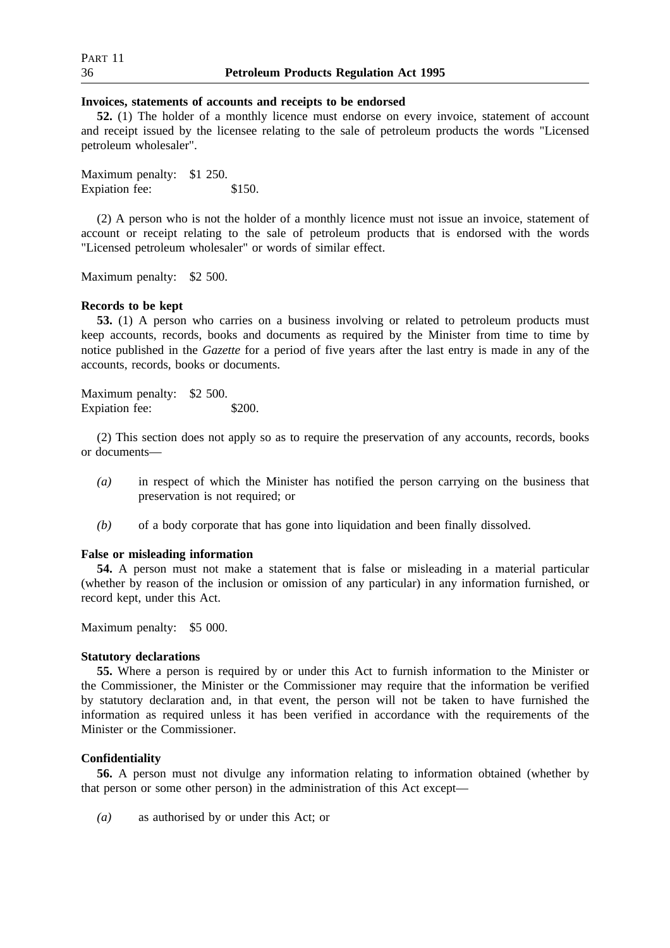#### **Invoices, statements of accounts and receipts to be endorsed**

**52.** (1) The holder of a monthly licence must endorse on every invoice, statement of account and receipt issued by the licensee relating to the sale of petroleum products the words "Licensed petroleum wholesaler".

Maximum penalty: \$1 250. Expiation fee: \$150.

(2) A person who is not the holder of a monthly licence must not issue an invoice, statement of account or receipt relating to the sale of petroleum products that is endorsed with the words "Licensed petroleum wholesaler" or words of similar effect.

Maximum penalty: \$2 500.

#### **Records to be kept**

**53.** (1) A person who carries on a business involving or related to petroleum products must keep accounts, records, books and documents as required by the Minister from time to time by notice published in the *Gazette* for a period of five years after the last entry is made in any of the accounts, records, books or documents.

Maximum penalty: \$2 500. Expiation fee: \$200.

(2) This section does not apply so as to require the preservation of any accounts, records, books or documents—

- *(a)* in respect of which the Minister has notified the person carrying on the business that preservation is not required; or
- *(b)* of a body corporate that has gone into liquidation and been finally dissolved.

### **False or misleading information**

**54.** A person must not make a statement that is false or misleading in a material particular (whether by reason of the inclusion or omission of any particular) in any information furnished, or record kept, under this Act.

Maximum penalty: \$5 000.

### **Statutory declarations**

**55.** Where a person is required by or under this Act to furnish information to the Minister or the Commissioner, the Minister or the Commissioner may require that the information be verified by statutory declaration and, in that event, the person will not be taken to have furnished the information as required unless it has been verified in accordance with the requirements of the Minister or the Commissioner.

#### **Confidentiality**

**56.** A person must not divulge any information relating to information obtained (whether by that person or some other person) in the administration of this Act except—

*(a)* as authorised by or under this Act; or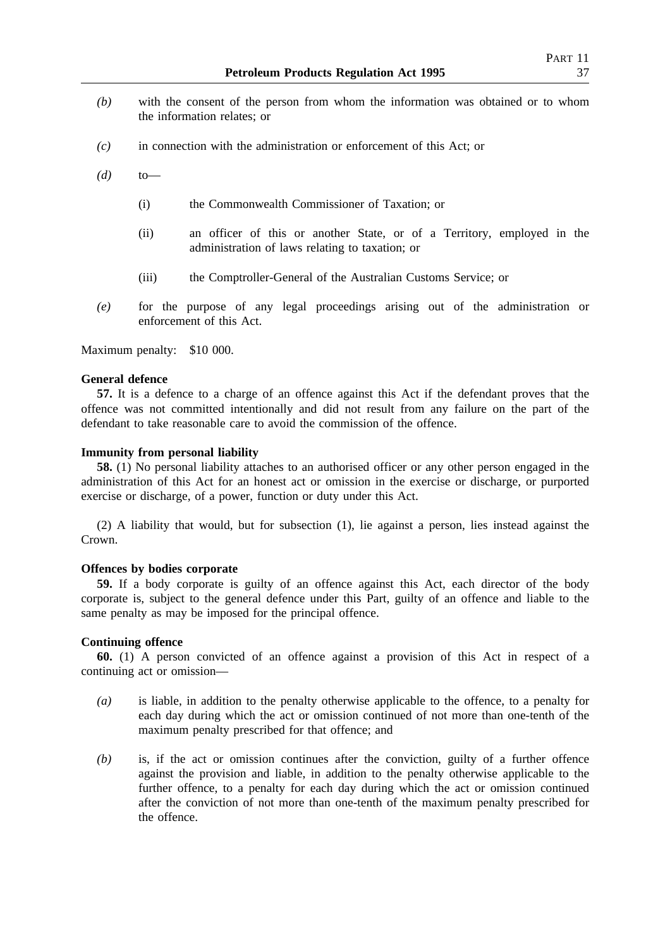- *(b)* with the consent of the person from whom the information was obtained or to whom the information relates; or
- *(c)* in connection with the administration or enforcement of this Act; or
- *(d)* to—
	- (i) the Commonwealth Commissioner of Taxation; or
	- (ii) an officer of this or another State, or of a Territory, employed in the administration of laws relating to taxation; or
	- (iii) the Comptroller-General of the Australian Customs Service; or
- *(e)* for the purpose of any legal proceedings arising out of the administration or enforcement of this Act.

Maximum penalty: \$10 000.

### **General defence**

**57.** It is a defence to a charge of an offence against this Act if the defendant proves that the offence was not committed intentionally and did not result from any failure on the part of the defendant to take reasonable care to avoid the commission of the offence.

## **Immunity from personal liability**

**58.** (1) No personal liability attaches to an authorised officer or any other person engaged in the administration of this Act for an honest act or omission in the exercise or discharge, or purported exercise or discharge, of a power, function or duty under this Act.

(2) A liability that would, but for subsection (1), lie against a person, lies instead against the Crown.

### **Offences by bodies corporate**

**59.** If a body corporate is guilty of an offence against this Act, each director of the body corporate is, subject to the general defence under this Part, guilty of an offence and liable to the same penalty as may be imposed for the principal offence.

### **Continuing offence**

**60.** (1) A person convicted of an offence against a provision of this Act in respect of a continuing act or omission—

- *(a)* is liable, in addition to the penalty otherwise applicable to the offence, to a penalty for each day during which the act or omission continued of not more than one-tenth of the maximum penalty prescribed for that offence; and
- *(b)* is, if the act or omission continues after the conviction, guilty of a further offence against the provision and liable, in addition to the penalty otherwise applicable to the further offence, to a penalty for each day during which the act or omission continued after the conviction of not more than one-tenth of the maximum penalty prescribed for the offence.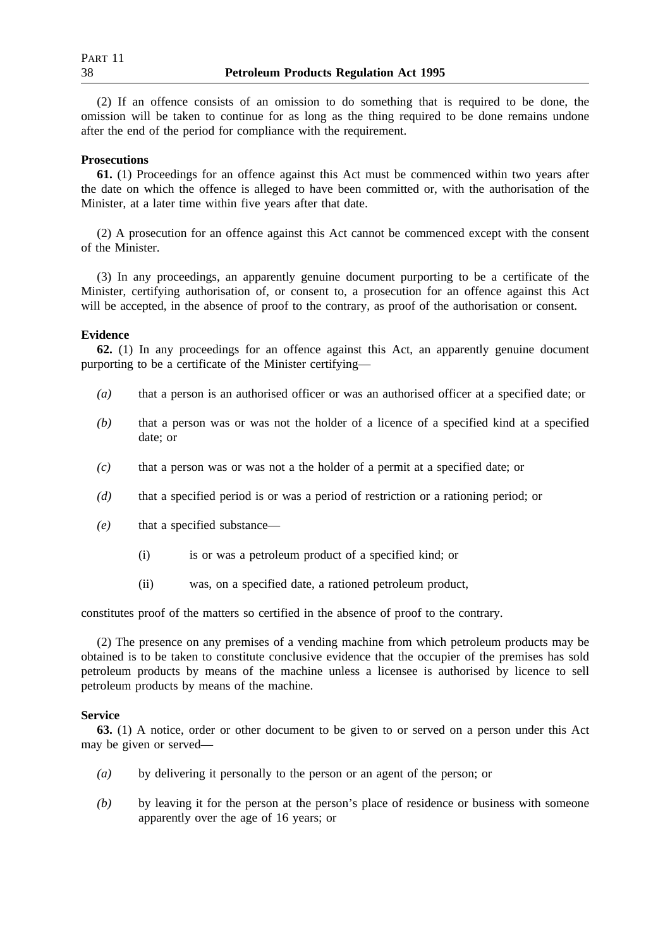(2) If an offence consists of an omission to do something that is required to be done, the omission will be taken to continue for as long as the thing required to be done remains undone after the end of the period for compliance with the requirement.

## **Prosecutions**

**61.** (1) Proceedings for an offence against this Act must be commenced within two years after the date on which the offence is alleged to have been committed or, with the authorisation of the Minister, at a later time within five years after that date.

(2) A prosecution for an offence against this Act cannot be commenced except with the consent of the Minister.

(3) In any proceedings, an apparently genuine document purporting to be a certificate of the Minister, certifying authorisation of, or consent to, a prosecution for an offence against this Act will be accepted, in the absence of proof to the contrary, as proof of the authorisation or consent.

## **Evidence**

**62.** (1) In any proceedings for an offence against this Act, an apparently genuine document purporting to be a certificate of the Minister certifying—

- *(a)* that a person is an authorised officer or was an authorised officer at a specified date; or
- *(b)* that a person was or was not the holder of a licence of a specified kind at a specified date; or
- *(c)* that a person was or was not a the holder of a permit at a specified date; or
- *(d)* that a specified period is or was a period of restriction or a rationing period; or
- *(e)* that a specified substance—
	- (i) is or was a petroleum product of a specified kind; or
	- (ii) was, on a specified date, a rationed petroleum product,

constitutes proof of the matters so certified in the absence of proof to the contrary.

(2) The presence on any premises of a vending machine from which petroleum products may be obtained is to be taken to constitute conclusive evidence that the occupier of the premises has sold petroleum products by means of the machine unless a licensee is authorised by licence to sell petroleum products by means of the machine.

### **Service**

**63.** (1) A notice, order or other document to be given to or served on a person under this Act may be given or served—

- *(a)* by delivering it personally to the person or an agent of the person; or
- *(b)* by leaving it for the person at the person's place of residence or business with someone apparently over the age of 16 years; or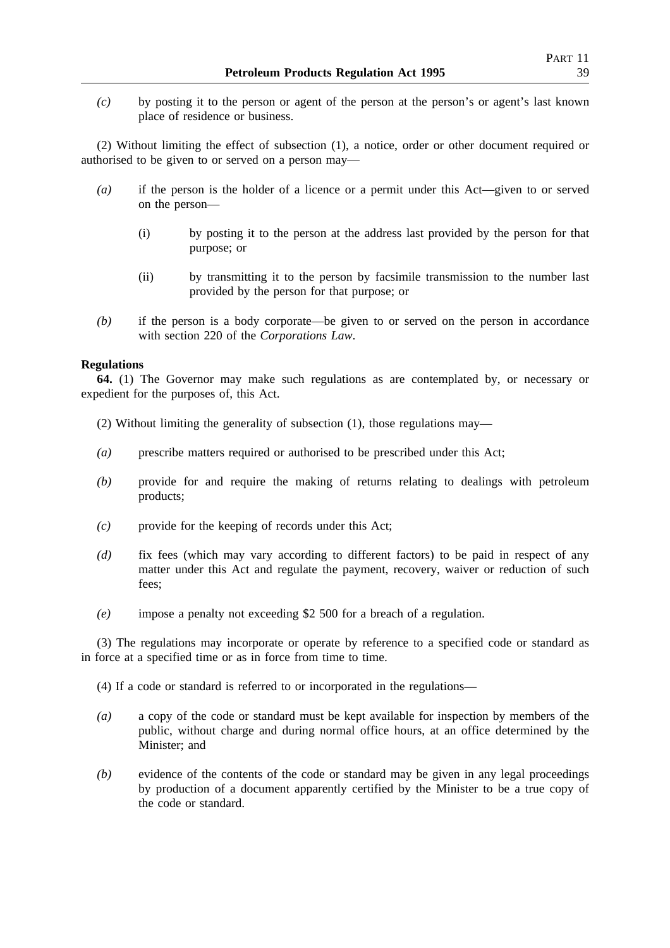*(c)* by posting it to the person or agent of the person at the person's or agent's last known place of residence or business.

(2) Without limiting the effect of subsection (1), a notice, order or other document required or authorised to be given to or served on a person may—

- *(a)* if the person is the holder of a licence or a permit under this Act—given to or served on the person—
	- (i) by posting it to the person at the address last provided by the person for that purpose; or
	- (ii) by transmitting it to the person by facsimile transmission to the number last provided by the person for that purpose; or
- *(b)* if the person is a body corporate—be given to or served on the person in accordance with section 220 of the *Corporations Law*.

## **Regulations**

**64.** (1) The Governor may make such regulations as are contemplated by, or necessary or expedient for the purposes of, this Act.

- (2) Without limiting the generality of subsection (1), those regulations may—
- *(a)* prescribe matters required or authorised to be prescribed under this Act;
- *(b)* provide for and require the making of returns relating to dealings with petroleum products;
- *(c)* provide for the keeping of records under this Act;
- *(d)* fix fees (which may vary according to different factors) to be paid in respect of any matter under this Act and regulate the payment, recovery, waiver or reduction of such fees;
- *(e)* impose a penalty not exceeding \$2 500 for a breach of a regulation.

(3) The regulations may incorporate or operate by reference to a specified code or standard as in force at a specified time or as in force from time to time.

(4) If a code or standard is referred to or incorporated in the regulations—

- *(a)* a copy of the code or standard must be kept available for inspection by members of the public, without charge and during normal office hours, at an office determined by the Minister; and
- *(b)* evidence of the contents of the code or standard may be given in any legal proceedings by production of a document apparently certified by the Minister to be a true copy of the code or standard.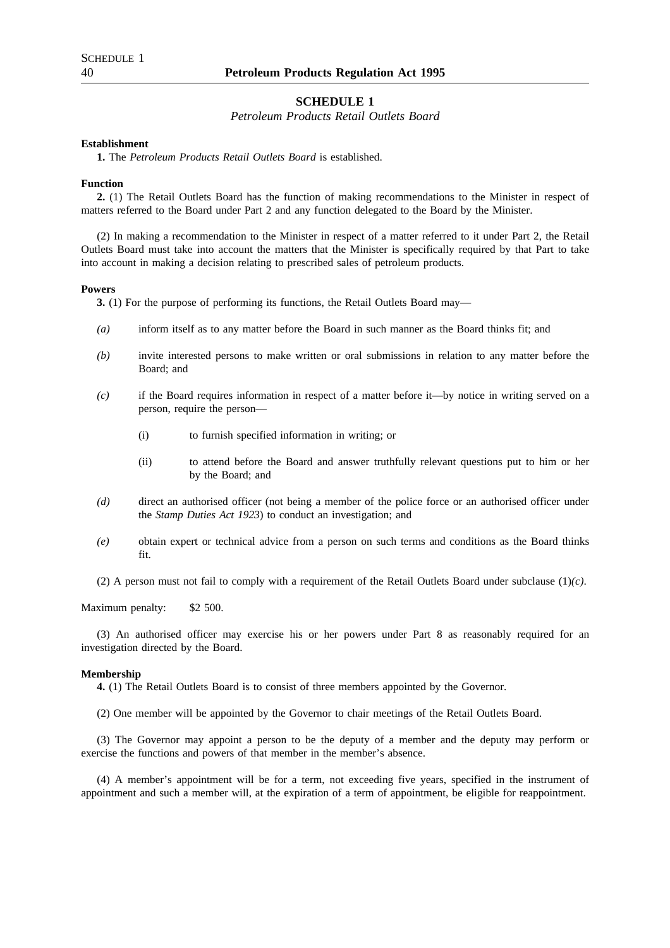### **SCHEDULE 1**

*Petroleum Products Retail Outlets Board*

### **Establishment**

**1.** The *Petroleum Products Retail Outlets Board* is established.

#### **Function**

**2.** (1) The Retail Outlets Board has the function of making recommendations to the Minister in respect of matters referred to the Board under Part 2 and any function delegated to the Board by the Minister.

(2) In making a recommendation to the Minister in respect of a matter referred to it under Part 2, the Retail Outlets Board must take into account the matters that the Minister is specifically required by that Part to take into account in making a decision relating to prescribed sales of petroleum products.

#### **Powers**

**3.** (1) For the purpose of performing its functions, the Retail Outlets Board may—

- *(a)* inform itself as to any matter before the Board in such manner as the Board thinks fit; and
- *(b)* invite interested persons to make written or oral submissions in relation to any matter before the Board; and
- *(c)* if the Board requires information in respect of a matter before it—by notice in writing served on a person, require the person—
	- (i) to furnish specified information in writing; or
	- (ii) to attend before the Board and answer truthfully relevant questions put to him or her by the Board; and
- *(d)* direct an authorised officer (not being a member of the police force or an authorised officer under the *Stamp Duties Act 1923*) to conduct an investigation; and
- *(e)* obtain expert or technical advice from a person on such terms and conditions as the Board thinks fit.
- (2) A person must not fail to comply with a requirement of the Retail Outlets Board under subclause (1)*(c)*.

Maximum penalty: \$2 500.

(3) An authorised officer may exercise his or her powers under Part 8 as reasonably required for an investigation directed by the Board.

#### **Membership**

**4.** (1) The Retail Outlets Board is to consist of three members appointed by the Governor.

(2) One member will be appointed by the Governor to chair meetings of the Retail Outlets Board.

(3) The Governor may appoint a person to be the deputy of a member and the deputy may perform or exercise the functions and powers of that member in the member's absence.

(4) A member's appointment will be for a term, not exceeding five years, specified in the instrument of appointment and such a member will, at the expiration of a term of appointment, be eligible for reappointment.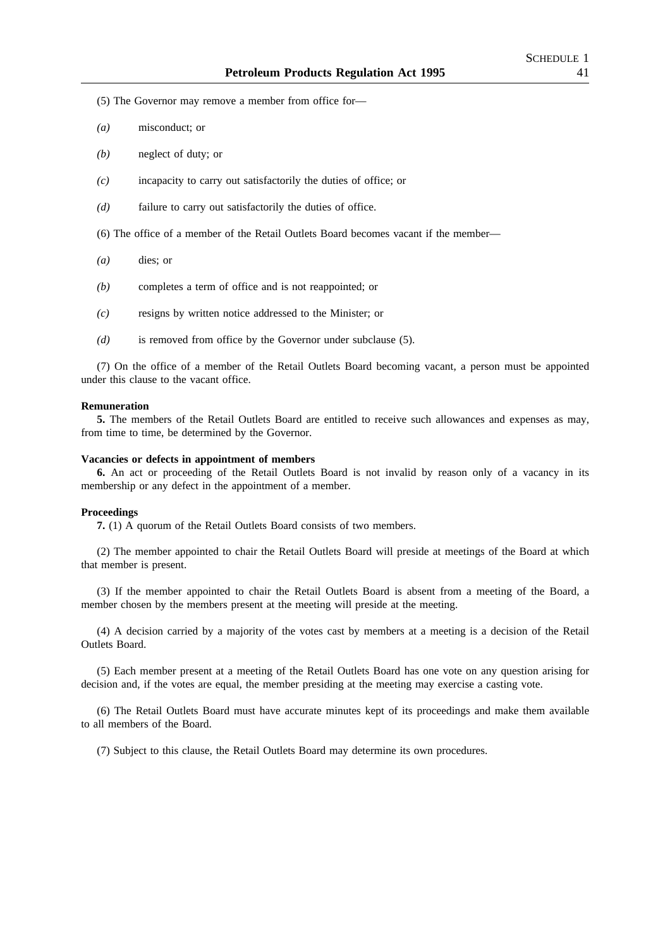(5) The Governor may remove a member from office for—

- *(a)* misconduct; or
- *(b)* neglect of duty; or
- *(c)* incapacity to carry out satisfactorily the duties of office; or
- *(d)* failure to carry out satisfactorily the duties of office.
- (6) The office of a member of the Retail Outlets Board becomes vacant if the member—
- *(a)* dies; or
- *(b)* completes a term of office and is not reappointed; or
- *(c)* resigns by written notice addressed to the Minister; or
- *(d)* is removed from office by the Governor under subclause (5).

(7) On the office of a member of the Retail Outlets Board becoming vacant, a person must be appointed under this clause to the vacant office.

#### **Remuneration**

**5.** The members of the Retail Outlets Board are entitled to receive such allowances and expenses as may, from time to time, be determined by the Governor.

#### **Vacancies or defects in appointment of members**

**6.** An act or proceeding of the Retail Outlets Board is not invalid by reason only of a vacancy in its membership or any defect in the appointment of a member.

### **Proceedings**

**7.** (1) A quorum of the Retail Outlets Board consists of two members.

(2) The member appointed to chair the Retail Outlets Board will preside at meetings of the Board at which that member is present.

(3) If the member appointed to chair the Retail Outlets Board is absent from a meeting of the Board, a member chosen by the members present at the meeting will preside at the meeting.

(4) A decision carried by a majority of the votes cast by members at a meeting is a decision of the Retail Outlets Board.

(5) Each member present at a meeting of the Retail Outlets Board has one vote on any question arising for decision and, if the votes are equal, the member presiding at the meeting may exercise a casting vote.

(6) The Retail Outlets Board must have accurate minutes kept of its proceedings and make them available to all members of the Board.

(7) Subject to this clause, the Retail Outlets Board may determine its own procedures.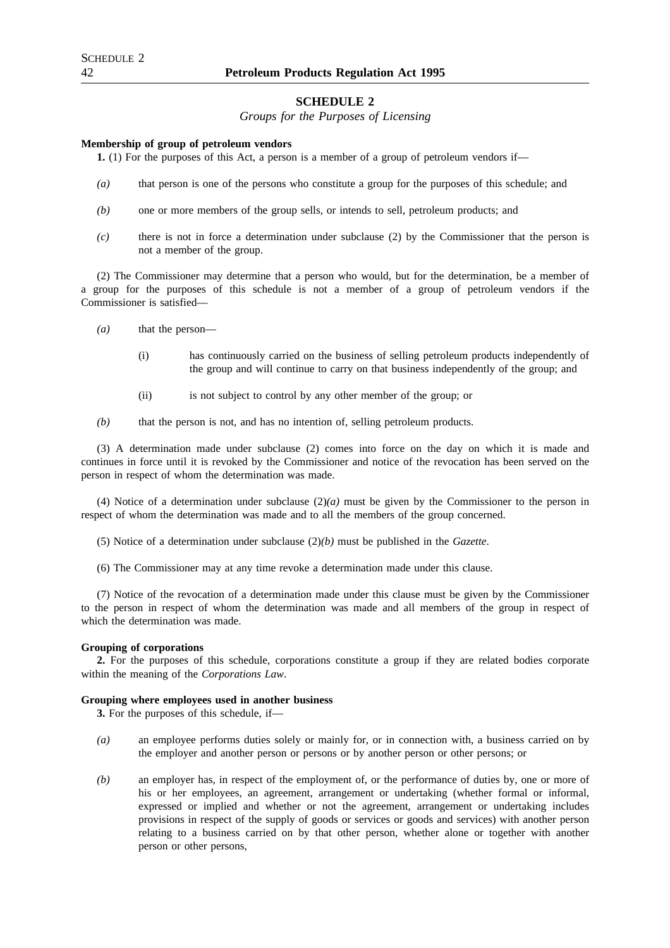### **SCHEDULE 2**

*Groups for the Purposes of Licensing*

#### **Membership of group of petroleum vendors**

**1.** (1) For the purposes of this Act, a person is a member of a group of petroleum vendors if—

- *(a)* that person is one of the persons who constitute a group for the purposes of this schedule; and
- *(b)* one or more members of the group sells, or intends to sell, petroleum products; and
- *(c)* there is not in force a determination under subclause (2) by the Commissioner that the person is not a member of the group.

(2) The Commissioner may determine that a person who would, but for the determination, be a member of a group for the purposes of this schedule is not a member of a group of petroleum vendors if the Commissioner is satisfied—

- *(a)* that the person—
	- (i) has continuously carried on the business of selling petroleum products independently of the group and will continue to carry on that business independently of the group; and
	- (ii) is not subject to control by any other member of the group; or

*(b)* that the person is not, and has no intention of, selling petroleum products.

(3) A determination made under subclause (2) comes into force on the day on which it is made and continues in force until it is revoked by the Commissioner and notice of the revocation has been served on the person in respect of whom the determination was made.

(4) Notice of a determination under subclause (2)*(a)* must be given by the Commissioner to the person in respect of whom the determination was made and to all the members of the group concerned.

- (5) Notice of a determination under subclause (2)*(b)* must be published in the *Gazette*.
- (6) The Commissioner may at any time revoke a determination made under this clause.

(7) Notice of the revocation of a determination made under this clause must be given by the Commissioner to the person in respect of whom the determination was made and all members of the group in respect of which the determination was made.

#### **Grouping of corporations**

**2.** For the purposes of this schedule, corporations constitute a group if they are related bodies corporate within the meaning of the *Corporations Law*.

#### **Grouping where employees used in another business**

**3.** For the purposes of this schedule, if—

- *(a)* an employee performs duties solely or mainly for, or in connection with, a business carried on by the employer and another person or persons or by another person or other persons; or
- *(b)* an employer has, in respect of the employment of, or the performance of duties by, one or more of his or her employees, an agreement, arrangement or undertaking (whether formal or informal, expressed or implied and whether or not the agreement, arrangement or undertaking includes provisions in respect of the supply of goods or services or goods and services) with another person relating to a business carried on by that other person, whether alone or together with another person or other persons,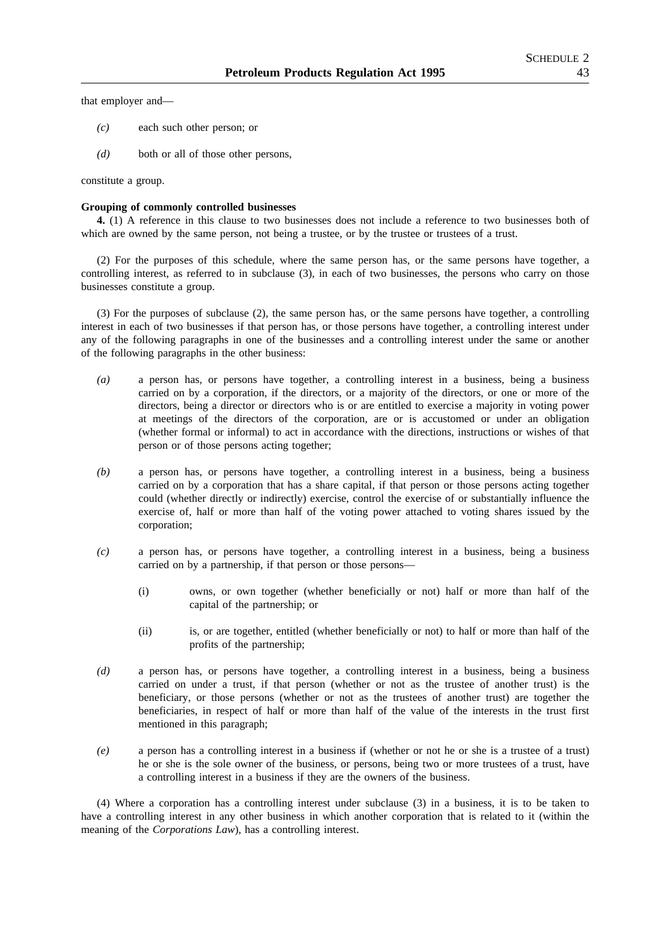that employer and—

- *(c)* each such other person; or
- *(d)* both or all of those other persons,

constitute a group.

#### **Grouping of commonly controlled businesses**

**4.** (1) A reference in this clause to two businesses does not include a reference to two businesses both of which are owned by the same person, not being a trustee, or by the trustee or trustees of a trust.

(2) For the purposes of this schedule, where the same person has, or the same persons have together, a controlling interest, as referred to in subclause (3), in each of two businesses, the persons who carry on those businesses constitute a group.

(3) For the purposes of subclause (2), the same person has, or the same persons have together, a controlling interest in each of two businesses if that person has, or those persons have together, a controlling interest under any of the following paragraphs in one of the businesses and a controlling interest under the same or another of the following paragraphs in the other business:

- *(a)* a person has, or persons have together, a controlling interest in a business, being a business carried on by a corporation, if the directors, or a majority of the directors, or one or more of the directors, being a director or directors who is or are entitled to exercise a majority in voting power at meetings of the directors of the corporation, are or is accustomed or under an obligation (whether formal or informal) to act in accordance with the directions, instructions or wishes of that person or of those persons acting together;
- *(b)* a person has, or persons have together, a controlling interest in a business, being a business carried on by a corporation that has a share capital, if that person or those persons acting together could (whether directly or indirectly) exercise, control the exercise of or substantially influence the exercise of, half or more than half of the voting power attached to voting shares issued by the corporation;
- *(c)* a person has, or persons have together, a controlling interest in a business, being a business carried on by a partnership, if that person or those persons—
	- (i) owns, or own together (whether beneficially or not) half or more than half of the capital of the partnership; or
	- (ii) is, or are together, entitled (whether beneficially or not) to half or more than half of the profits of the partnership;
- *(d)* a person has, or persons have together, a controlling interest in a business, being a business carried on under a trust, if that person (whether or not as the trustee of another trust) is the beneficiary, or those persons (whether or not as the trustees of another trust) are together the beneficiaries, in respect of half or more than half of the value of the interests in the trust first mentioned in this paragraph;
- *(e)* a person has a controlling interest in a business if (whether or not he or she is a trustee of a trust) he or she is the sole owner of the business, or persons, being two or more trustees of a trust, have a controlling interest in a business if they are the owners of the business.

(4) Where a corporation has a controlling interest under subclause (3) in a business, it is to be taken to have a controlling interest in any other business in which another corporation that is related to it (within the meaning of the *Corporations Law*), has a controlling interest.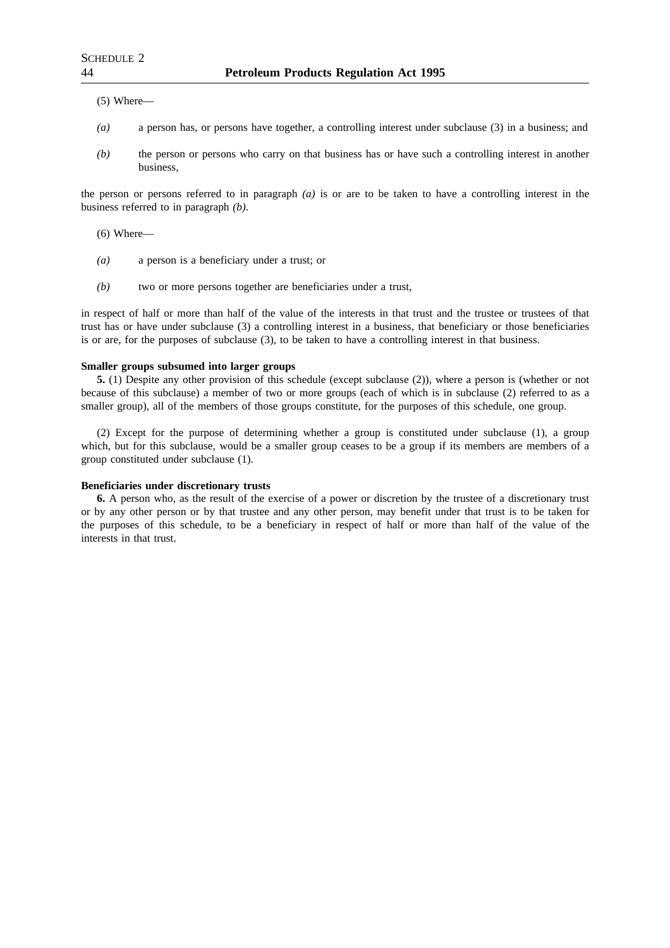(5) Where—

- *(a)* a person has, or persons have together, a controlling interest under subclause (3) in a business; and
- *(b)* the person or persons who carry on that business has or have such a controlling interest in another business,

the person or persons referred to in paragraph *(a)* is or are to be taken to have a controlling interest in the business referred to in paragraph *(b)*.

(6) Where—

- *(a)* a person is a beneficiary under a trust; or
- *(b)* two or more persons together are beneficiaries under a trust,

in respect of half or more than half of the value of the interests in that trust and the trustee or trustees of that trust has or have under subclause (3) a controlling interest in a business, that beneficiary or those beneficiaries is or are, for the purposes of subclause (3), to be taken to have a controlling interest in that business.

#### **Smaller groups subsumed into larger groups**

**5.** (1) Despite any other provision of this schedule (except subclause (2)), where a person is (whether or not because of this subclause) a member of two or more groups (each of which is in subclause (2) referred to as a smaller group), all of the members of those groups constitute, for the purposes of this schedule, one group.

(2) Except for the purpose of determining whether a group is constituted under subclause (1), a group which, but for this subclause, would be a smaller group ceases to be a group if its members are members of a group constituted under subclause (1).

#### **Beneficiaries under discretionary trusts**

**6.** A person who, as the result of the exercise of a power or discretion by the trustee of a discretionary trust or by any other person or by that trustee and any other person, may benefit under that trust is to be taken for the purposes of this schedule, to be a beneficiary in respect of half or more than half of the value of the interests in that trust.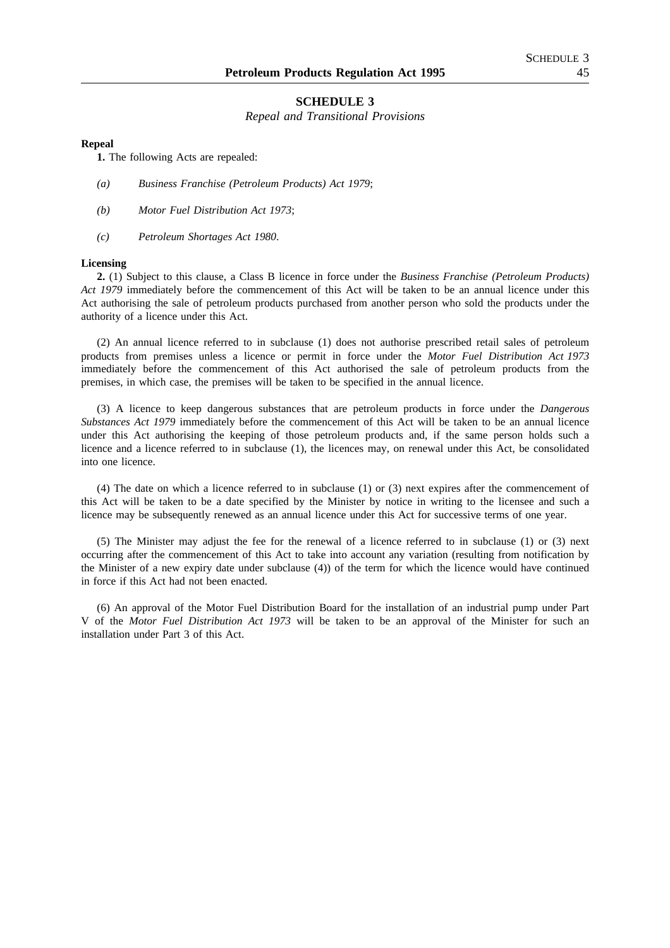### **SCHEDULE 3**

*Repeal and Transitional Provisions*

#### **Repeal**

**1.** The following Acts are repealed:

- *(a) Business Franchise (Petroleum Products) Act 1979*;
- *(b) Motor Fuel Distribution Act 1973*;
- *(c) Petroleum Shortages Act 1980*.

#### **Licensing**

**2.** (1) Subject to this clause, a Class B licence in force under the *Business Franchise (Petroleum Products) Act 1979* immediately before the commencement of this Act will be taken to be an annual licence under this Act authorising the sale of petroleum products purchased from another person who sold the products under the authority of a licence under this Act.

(2) An annual licence referred to in subclause (1) does not authorise prescribed retail sales of petroleum products from premises unless a licence or permit in force under the *Motor Fuel Distribution Act 1973* immediately before the commencement of this Act authorised the sale of petroleum products from the premises, in which case, the premises will be taken to be specified in the annual licence.

(3) A licence to keep dangerous substances that are petroleum products in force under the *Dangerous Substances Act 1979* immediately before the commencement of this Act will be taken to be an annual licence under this Act authorising the keeping of those petroleum products and, if the same person holds such a licence and a licence referred to in subclause (1), the licences may, on renewal under this Act, be consolidated into one licence.

(4) The date on which a licence referred to in subclause (1) or (3) next expires after the commencement of this Act will be taken to be a date specified by the Minister by notice in writing to the licensee and such a licence may be subsequently renewed as an annual licence under this Act for successive terms of one year.

(5) The Minister may adjust the fee for the renewal of a licence referred to in subclause (1) or (3) next occurring after the commencement of this Act to take into account any variation (resulting from notification by the Minister of a new expiry date under subclause (4)) of the term for which the licence would have continued in force if this Act had not been enacted.

(6) An approval of the Motor Fuel Distribution Board for the installation of an industrial pump under Part V of the *Motor Fuel Distribution Act 1973* will be taken to be an approval of the Minister for such an installation under Part 3 of this Act.